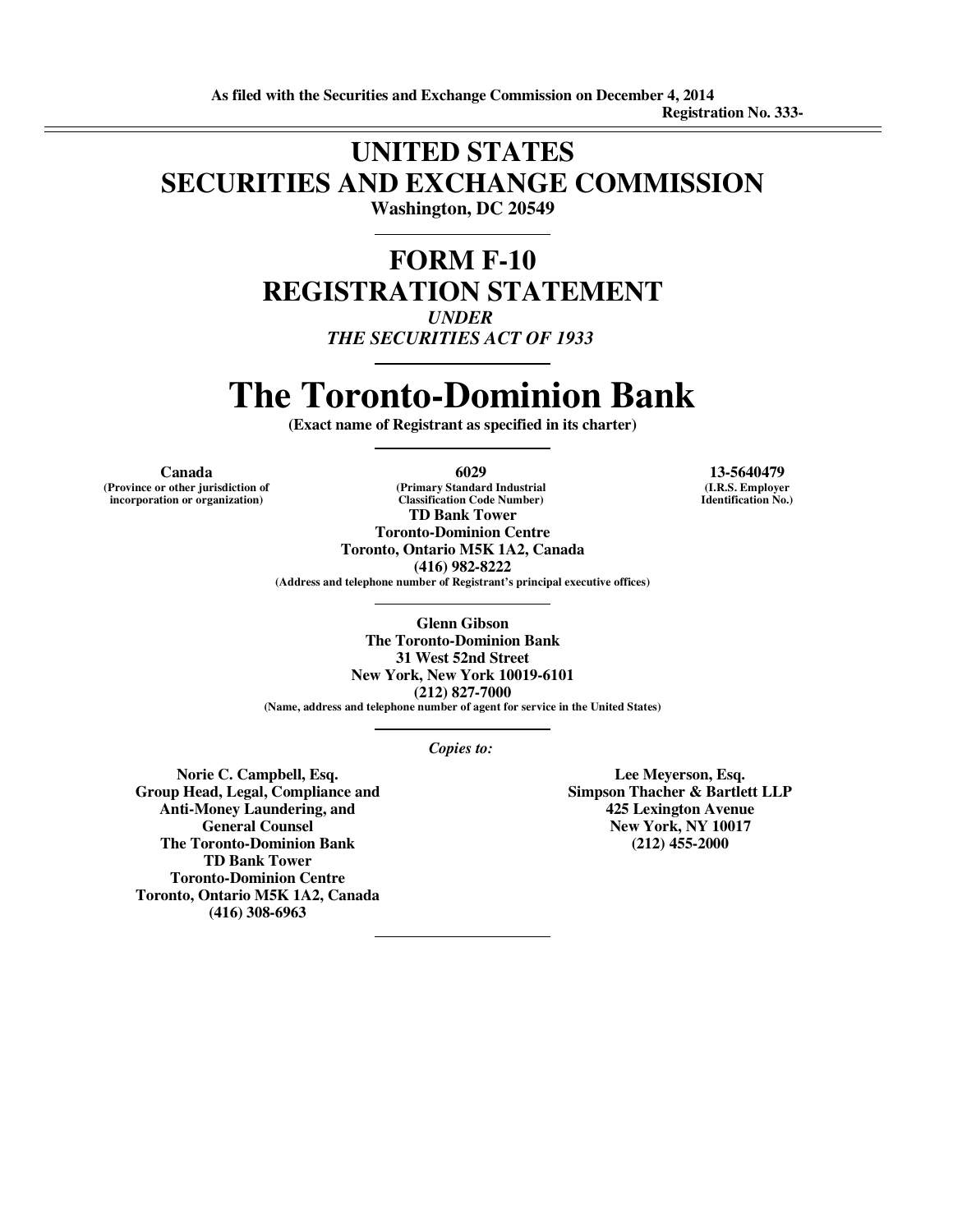# **UNITED STATES SECURITIES AND EXCHANGE COMMISSION**

**Washington, DC 20549** 

# **FORM F-10 REGISTRATION STATEMENT**  *UNDER*

*THE SECURITIES ACT OF 1933* 

# **The Toronto-Dominion Bank**

**(Exact name of Registrant as specified in its charter)** 

**(Province or other jurisdiction of incorporation or organization)**

 $\overline{a}$ 

**TD Bank Tower Toronto-Dominion Centre Toronto, Ontario M5K 1A2, Canada (416) 982-8222 (Address and telephone number of Registrant's principal executive offices) Canada 6029 13-5640479 (Primary Standard Industrial Classification Code Number)**

> **Glenn Gibson The Toronto-Dominion Bank 31 West 52nd Street New York, New York 10019-6101 (212) 827-7000 (Name, address and telephone number of agent for service in the United States)**

> > *Copies to:*

**Norie C. Campbell, Esq. Group Head, Legal, Compliance and Anti-Money Laundering, and General Counsel The Toronto-Dominion Bank TD Bank Tower Toronto-Dominion Centre Toronto, Ontario M5K 1A2, Canada (416) 308-6963**

**Lee Meyerson, Esq. Simpson Thacher & Bartlett LLP 425 Lexington Avenue New York, NY 10017 (212) 455-2000**

**(I.R.S. Employer Identification No.)**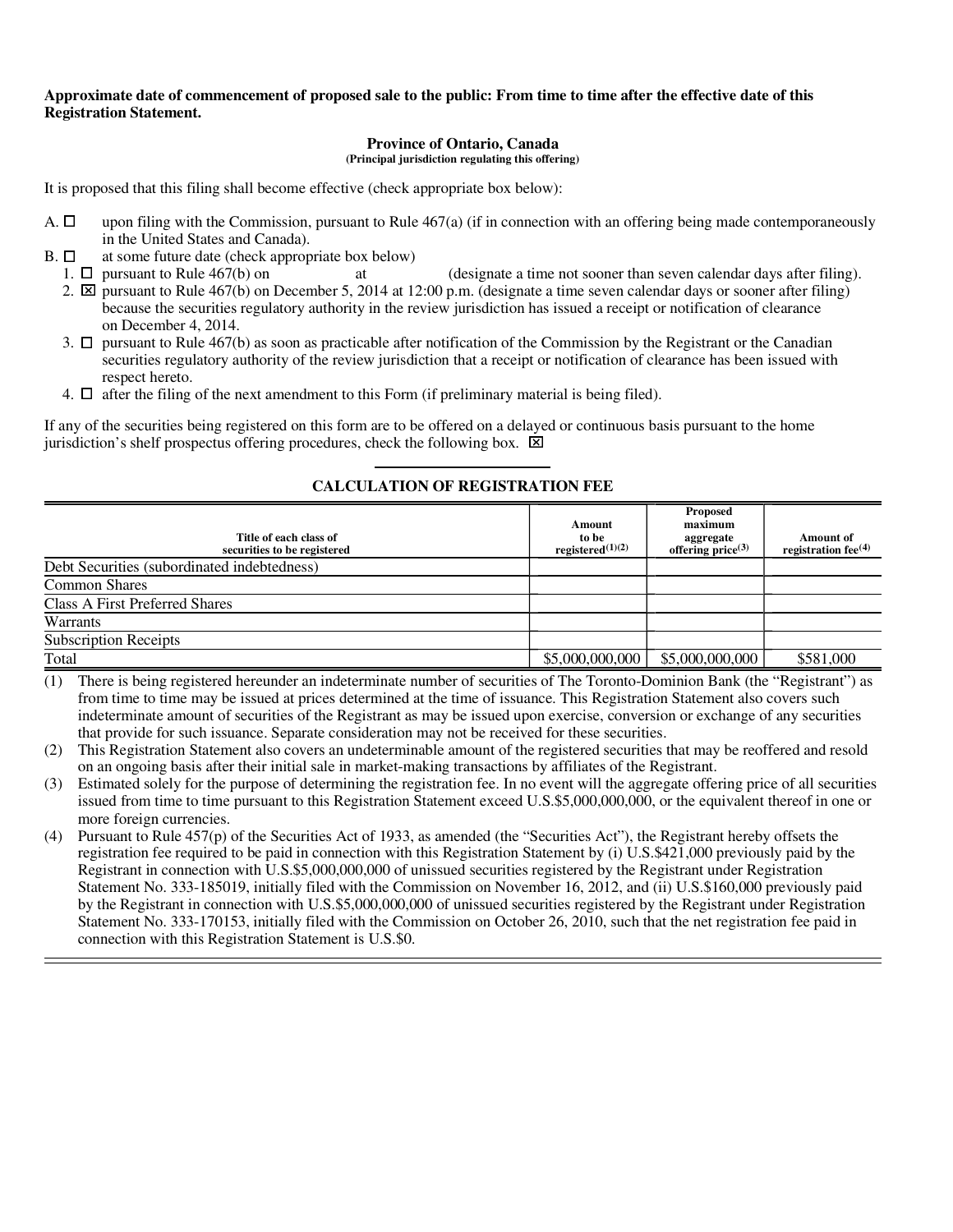#### **Approximate date of commencement of proposed sale to the public: From time to time after the effective date of this Registration Statement.**

# **Province of Ontario, Canada**

**(Principal jurisdiction regulating this offering)** 

It is proposed that this filing shall become effective (check appropriate box below):

- $A. \Box$ upon filing with the Commission, pursuant to Rule 467(a) (if in connection with an offering being made contemporaneously in the United States and Canada).
- B.  $\Box$  at some future date (check a<br>1.  $\Box$  pursuant to Rule 467(b) on at some future date (check appropriate box below)
	- 1.  $\Box$ <br>2.  $\Box$ at (designate a time not sooner than seven calendar days after filing).
	- 2.  $\boxtimes$  pursuant to Rule 467(b) on December 5, 2014 at 12:00 p.m. (designate a time seven calendar days or sooner after filing) because the securities regulatory authority in the review jurisdiction has issued a receipt because the securities regulatory authority in the review jurisdiction has issued a receipt or notification of clearance on December 4, 2014.
	- 3.  $\Box$  pursuant to Rule 467(b) as soon as practicable after notification of the Commission by the Registrant or the Canadian securities regulatory authority of the review iurisdiction that a receipt or notification of cl securities regulatory authority of the review jurisdiction that a receipt or notification of clearance has been issued with respect hereto.
	- 4.  $\Box$  after the filing of the next amendment to this Form (if preliminary material is being filed).

If any of the securities being registered on this form are to be offered on a delayed or continuous basis pursuant to the home jurisdiction's shelf prospectus offering procedures, check the following box.  $\boxtimes$ 

# **CALCULATION OF REGISTRATION FEE**

| Title of each class of<br>securities to be registered | Amount<br>to be<br>registered $(1)(2)$ | <b>Proposed</b><br>maximum<br>aggregate<br>offering price $(3)$ | Amount of<br>registration fee $(4)$ |
|-------------------------------------------------------|----------------------------------------|-----------------------------------------------------------------|-------------------------------------|
| Debt Securities (subordinated indebtedness)           |                                        |                                                                 |                                     |
| <b>Common Shares</b>                                  |                                        |                                                                 |                                     |
| <b>Class A First Preferred Shares</b>                 |                                        |                                                                 |                                     |
| Warrants                                              |                                        |                                                                 |                                     |
| <b>Subscription Receipts</b>                          |                                        |                                                                 |                                     |
| Total                                                 | \$5,000,000,000                        | \$5,000,000,000                                                 | \$581,000                           |

- (1) There is being registered hereunder an indeterminate number of securities of The Toronto-Dominion Bank (the "Registrant") as from time to time may be issued at prices determined at the time of issuance. This Registration Statement also covers such indeterminate amount of securities of the Registrant as may be issued upon exercise, conversion or exchange of any securities that provide for such issuance. Separate consideration may not be received for these securities.
- (2) This Registration Statement also covers an undeterminable amount of the registered securities that may be reoffered and resold on an ongoing basis after their initial sale in market-making transactions by affiliates of the Registrant.
- (3) Estimated solely for the purpose of determining the registration fee. In no event will the aggregate offering price of all securities issued from time to time pursuant to this Registration Statement exceed U.S.\$5,000,000,000, or the equivalent thereof in one or more foreign currencies.
- (4) Pursuant to Rule 457(p) of the Securities Act of 1933, as amended (the "Securities Act"), the Registrant hereby offsets the registration fee required to be paid in connection with this Registration Statement by (i) U.S.\$421,000 previously paid by the Registrant in connection with U.S.\$5,000,000,000 of unissued securities registered by the Registrant under Registration Statement No. 333-185019, initially filed with the Commission on November 16, 2012, and (ii) U.S.\$160,000 previously paid by the Registrant in connection with U.S.\$5,000,000,000 of unissued securities registered by the Registrant under Registration Statement No. 333-170153, initially filed with the Commission on October 26, 2010, such that the net registration fee paid in connection with this Registration Statement is U.S.\$0.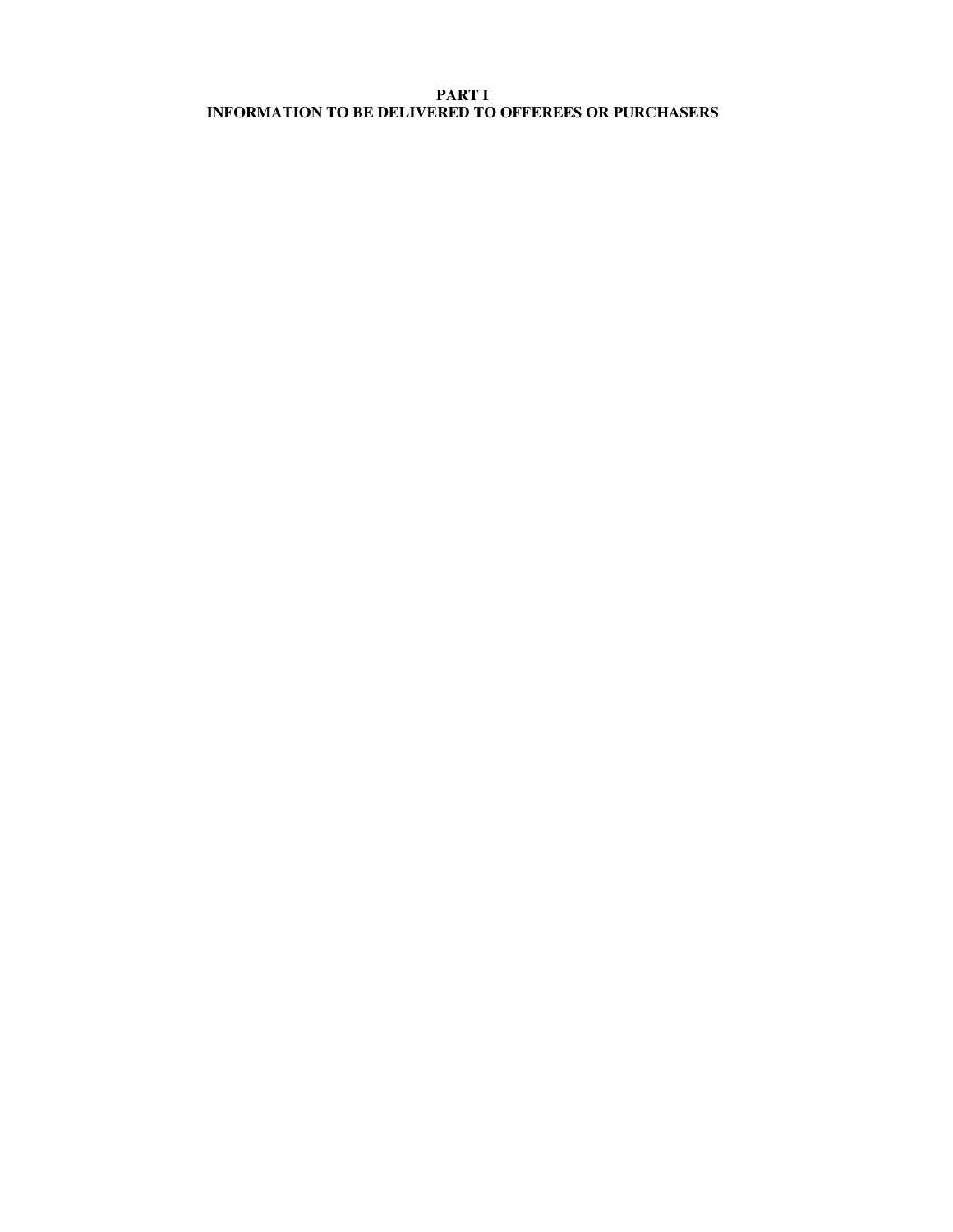## **PART I INFORMATION TO BE DELIVERED TO OFFEREES OR PURCHASERS**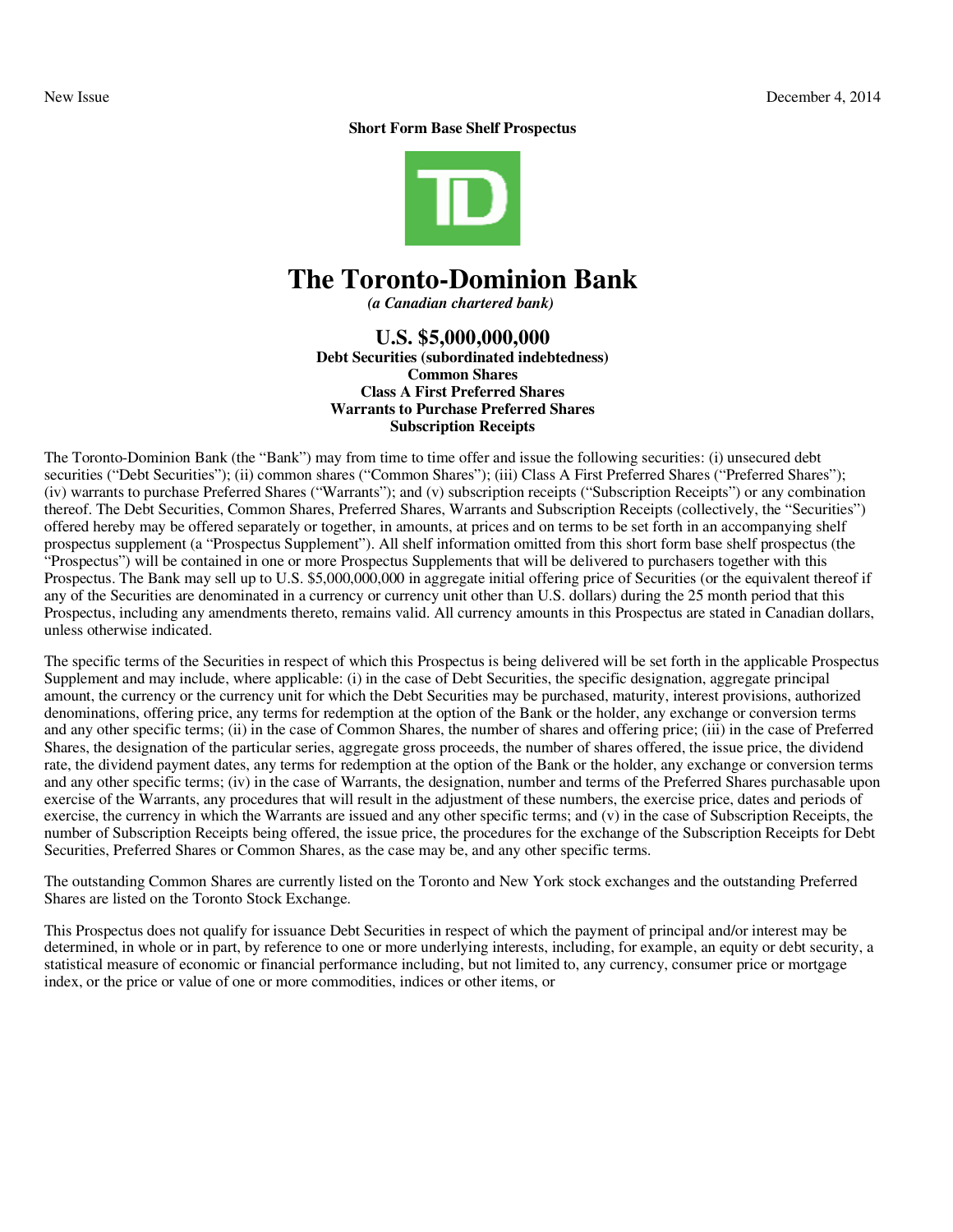#### **Short Form Base Shelf Prospectus**



# **The Toronto-Dominion Bank**

*(a Canadian chartered bank)* 

#### **U.S. \$5,000,000,000**

**Debt Securities (subordinated indebtedness) Common Shares Class A First Preferred Shares Warrants to Purchase Preferred Shares Subscription Receipts** 

The Toronto-Dominion Bank (the "Bank") may from time to time offer and issue the following securities: (i) unsecured debt securities ("Debt Securities"); (ii) common shares ("Common Shares"); (iii) Class A First Preferred Shares ("Preferred Shares"); (iv) warrants to purchase Preferred Shares ("Warrants"); and (v) subscription receipts ("Subscription Receipts") or any combination thereof. The Debt Securities, Common Shares, Preferred Shares, Warrants and Subscription Receipts (collectively, the "Securities") offered hereby may be offered separately or together, in amounts, at prices and on terms to be set forth in an accompanying shelf prospectus supplement (a "Prospectus Supplement"). All shelf information omitted from this short form base shelf prospectus (the "Prospectus") will be contained in one or more Prospectus Supplements that will be delivered to purchasers together with this Prospectus. The Bank may sell up to U.S. \$5,000,000,000 in aggregate initial offering price of Securities (or the equivalent thereof if any of the Securities are denominated in a currency or currency unit other than U.S. dollars) during the 25 month period that this Prospectus, including any amendments thereto, remains valid. All currency amounts in this Prospectus are stated in Canadian dollars, unless otherwise indicated.

The specific terms of the Securities in respect of which this Prospectus is being delivered will be set forth in the applicable Prospectus Supplement and may include, where applicable: (i) in the case of Debt Securities, the specific designation, aggregate principal amount, the currency or the currency unit for which the Debt Securities may be purchased, maturity, interest provisions, authorized denominations, offering price, any terms for redemption at the option of the Bank or the holder, any exchange or conversion terms and any other specific terms; (ii) in the case of Common Shares, the number of shares and offering price; (iii) in the case of Preferred Shares, the designation of the particular series, aggregate gross proceeds, the number of shares offered, the issue price, the dividend rate, the dividend payment dates, any terms for redemption at the option of the Bank or the holder, any exchange or conversion terms and any other specific terms; (iv) in the case of Warrants, the designation, number and terms of the Preferred Shares purchasable upon exercise of the Warrants, any procedures that will result in the adjustment of these numbers, the exercise price, dates and periods of exercise, the currency in which the Warrants are issued and any other specific terms; and (v) in the case of Subscription Receipts, the number of Subscription Receipts being offered, the issue price, the procedures for the exchange of the Subscription Receipts for Debt Securities, Preferred Shares or Common Shares, as the case may be, and any other specific terms.

The outstanding Common Shares are currently listed on the Toronto and New York stock exchanges and the outstanding Preferred Shares are listed on the Toronto Stock Exchange.

This Prospectus does not qualify for issuance Debt Securities in respect of which the payment of principal and/or interest may be determined, in whole or in part, by reference to one or more underlying interests, including, for example, an equity or debt security, a statistical measure of economic or financial performance including, but not limited to, any currency, consumer price or mortgage index, or the price or value of one or more commodities, indices or other items, or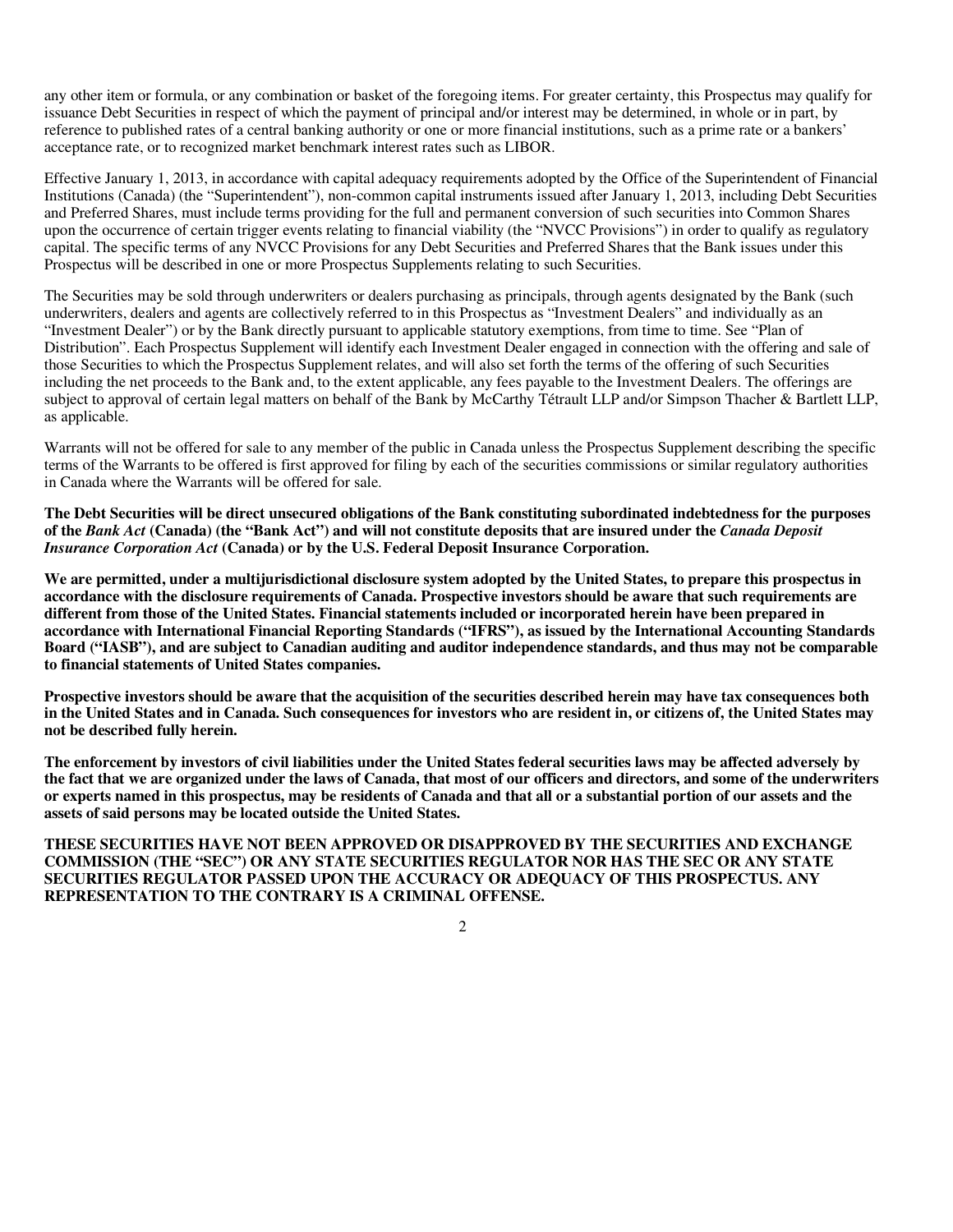any other item or formula, or any combination or basket of the foregoing items. For greater certainty, this Prospectus may qualify for issuance Debt Securities in respect of which the payment of principal and/or interest may be determined, in whole or in part, by reference to published rates of a central banking authority or one or more financial institutions, such as a prime rate or a bankers' acceptance rate, or to recognized market benchmark interest rates such as LIBOR.

Effective January 1, 2013, in accordance with capital adequacy requirements adopted by the Office of the Superintendent of Financial Institutions (Canada) (the "Superintendent"), non-common capital instruments issued after January 1, 2013, including Debt Securities and Preferred Shares, must include terms providing for the full and permanent conversion of such securities into Common Shares upon the occurrence of certain trigger events relating to financial viability (the "NVCC Provisions") in order to qualify as regulatory capital. The specific terms of any NVCC Provisions for any Debt Securities and Preferred Shares that the Bank issues under this Prospectus will be described in one or more Prospectus Supplements relating to such Securities.

The Securities may be sold through underwriters or dealers purchasing as principals, through agents designated by the Bank (such underwriters, dealers and agents are collectively referred to in this Prospectus as "Investment Dealers" and individually as an "Investment Dealer") or by the Bank directly pursuant to applicable statutory exemptions, from time to time. See "Plan of Distribution". Each Prospectus Supplement will identify each Investment Dealer engaged in connection with the offering and sale of those Securities to which the Prospectus Supplement relates, and will also set forth the terms of the offering of such Securities including the net proceeds to the Bank and, to the extent applicable, any fees payable to the Investment Dealers. The offerings are subject to approval of certain legal matters on behalf of the Bank by McCarthy Tétrault LLP and/or Simpson Thacher & Bartlett LLP, as applicable.

Warrants will not be offered for sale to any member of the public in Canada unless the Prospectus Supplement describing the specific terms of the Warrants to be offered is first approved for filing by each of the securities commissions or similar regulatory authorities in Canada where the Warrants will be offered for sale.

**The Debt Securities will be direct unsecured obligations of the Bank constituting subordinated indebtedness for the purposes of the** *Bank Act* **(Canada) (the "Bank Act") and will not constitute deposits that are insured under the** *Canada Deposit Insurance Corporation Act* **(Canada) or by the U.S. Federal Deposit Insurance Corporation.** 

**We are permitted, under a multijurisdictional disclosure system adopted by the United States, to prepare this prospectus in accordance with the disclosure requirements of Canada. Prospective investors should be aware that such requirements are different from those of the United States. Financial statements included or incorporated herein have been prepared in accordance with International Financial Reporting Standards ("IFRS"), as issued by the International Accounting Standards Board ("IASB"), and are subject to Canadian auditing and auditor independence standards, and thus may not be comparable to financial statements of United States companies.** 

**Prospective investors should be aware that the acquisition of the securities described herein may have tax consequences both in the United States and in Canada. Such consequences for investors who are resident in, or citizens of, the United States may not be described fully herein.** 

**The enforcement by investors of civil liabilities under the United States federal securities laws may be affected adversely by the fact that we are organized under the laws of Canada, that most of our officers and directors, and some of the underwriters or experts named in this prospectus, may be residents of Canada and that all or a substantial portion of our assets and the assets of said persons may be located outside the United States.** 

**THESE SECURITIES HAVE NOT BEEN APPROVED OR DISAPPROVED BY THE SECURITIES AND EXCHANGE COMMISSION (THE "SEC") OR ANY STATE SECURITIES REGULATOR NOR HAS THE SEC OR ANY STATE SECURITIES REGULATOR PASSED UPON THE ACCURACY OR ADEQUACY OF THIS PROSPECTUS. ANY REPRESENTATION TO THE CONTRARY IS A CRIMINAL OFFENSE.**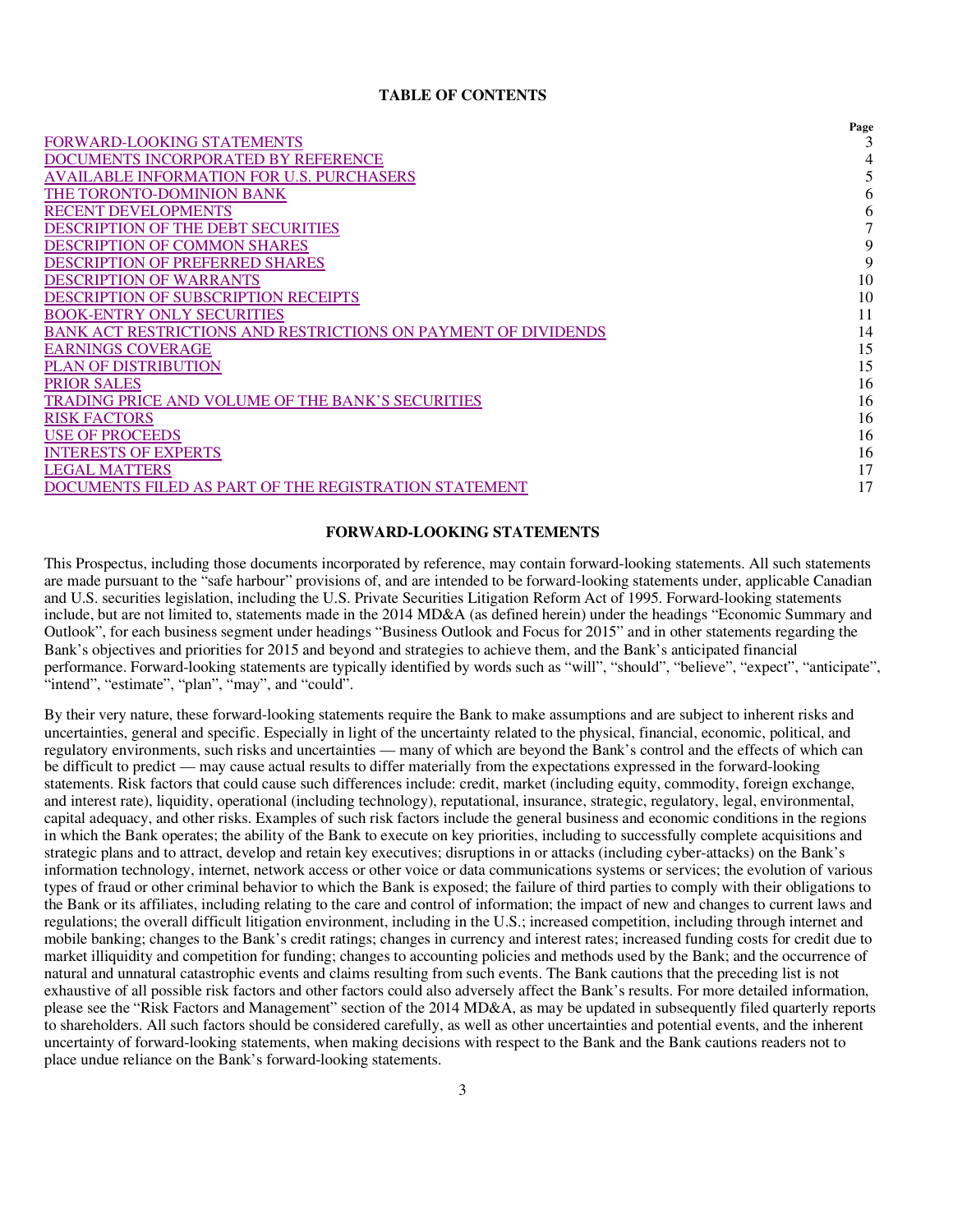#### **TABLE OF CONTENTS**

|                                                                | Page |
|----------------------------------------------------------------|------|
| FORWARD-LOOKING STATEMENTS                                     |      |
| DOCUMENTS INCORPORATED BY REFERENCE                            |      |
| AVAILABLE INFORMATION FOR U.S. PURCHASERS                      |      |
| THE TORONTO-DOMINION BANK                                      | 6    |
| <b>RECENT DEVELOPMENTS</b>                                     | 6    |
| <b>DESCRIPTION OF THE DEBT SECURITIES</b>                      |      |
| DESCRIPTION OF COMMON SHARES                                   | 9    |
| <b>DESCRIPTION OF PREFERRED SHARES</b>                         | 9    |
| DESCRIPTION OF WARRANTS                                        | 10   |
| DESCRIPTION OF SUBSCRIPTION RECEIPTS                           | 10   |
| BOOK-ENTRY ONLY SECURITIES                                     | 11   |
| BANK ACT RESTRICTIONS AND RESTRICTIONS ON PAYMENT OF DIVIDENDS | 14   |
| EARNINGS COVERAGE                                              | 15   |
| <b>PLAN OF DISTRIBUTION</b>                                    | 15   |
| PRIOR SALES                                                    | 16   |
| TRADING PRICE AND VOLUME OF THE BANK'S SECURITIES              | 16   |
| <b>RISK FACTORS</b>                                            | 16   |
| <b>USE OF PROCEEDS</b>                                         | 16   |
| <b>INTERESTS OF EXPERTS</b>                                    | 16   |
| <b>LEGAL MATTERS</b>                                           | 17   |
| DOCUMENTS FILED AS PART OF THE REGISTRATION STATEMENT          | 17   |
|                                                                |      |

#### **FORWARD-LOOKING STATEMENTS**

This Prospectus, including those documents incorporated by reference, may contain forward-looking statements. All such statements are made pursuant to the "safe harbour" provisions of, and are intended to be forward-looking statements under, applicable Canadian and U.S. securities legislation, including the U.S. Private Securities Litigation Reform Act of 1995. Forward-looking statements include, but are not limited to, statements made in the 2014 MD&A (as defined herein) under the headings "Economic Summary and Outlook", for each business segment under headings "Business Outlook and Focus for 2015" and in other statements regarding the Bank's objectives and priorities for 2015 and beyond and strategies to achieve them, and the Bank's anticipated financial performance. Forward-looking statements are typically identified by words such as "will", "should", "believe", "expect", "anticipate", "intend", "estimate", "plan", "may", and "could".

By their very nature, these forward-looking statements require the Bank to make assumptions and are subject to inherent risks and uncertainties, general and specific. Especially in light of the uncertainty related to the physical, financial, economic, political, and regulatory environments, such risks and uncertainties — many of which are beyond the Bank's control and the effects of which can be difficult to predict — may cause actual results to differ materially from the expectations expressed in the forward-looking statements. Risk factors that could cause such differences include: credit, market (including equity, commodity, foreign exchange, and interest rate), liquidity, operational (including technology), reputational, insurance, strategic, regulatory, legal, environmental, capital adequacy, and other risks. Examples of such risk factors include the general business and economic conditions in the regions in which the Bank operates; the ability of the Bank to execute on key priorities, including to successfully complete acquisitions and strategic plans and to attract, develop and retain key executives; disruptions in or attacks (including cyber-attacks) on the Bank's information technology, internet, network access or other voice or data communications systems or services; the evolution of various types of fraud or other criminal behavior to which the Bank is exposed; the failure of third parties to comply with their obligations to the Bank or its affiliates, including relating to the care and control of information; the impact of new and changes to current laws and regulations; the overall difficult litigation environment, including in the U.S.; increased competition, including through internet and mobile banking; changes to the Bank's credit ratings; changes in currency and interest rates; increased funding costs for credit due to market illiquidity and competition for funding; changes to accounting policies and methods used by the Bank; and the occurrence of natural and unnatural catastrophic events and claims resulting from such events. The Bank cautions that the preceding list is not exhaustive of all possible risk factors and other factors could also adversely affect the Bank's results. For more detailed information, please see the "Risk Factors and Management" section of the 2014 MD&A, as may be updated in subsequently filed quarterly reports to shareholders. All such factors should be considered carefully, as well as other uncertainties and potential events, and the inherent uncertainty of forward-looking statements, when making decisions with respect to the Bank and the Bank cautions readers not to place undue reliance on the Bank's forward-looking statements.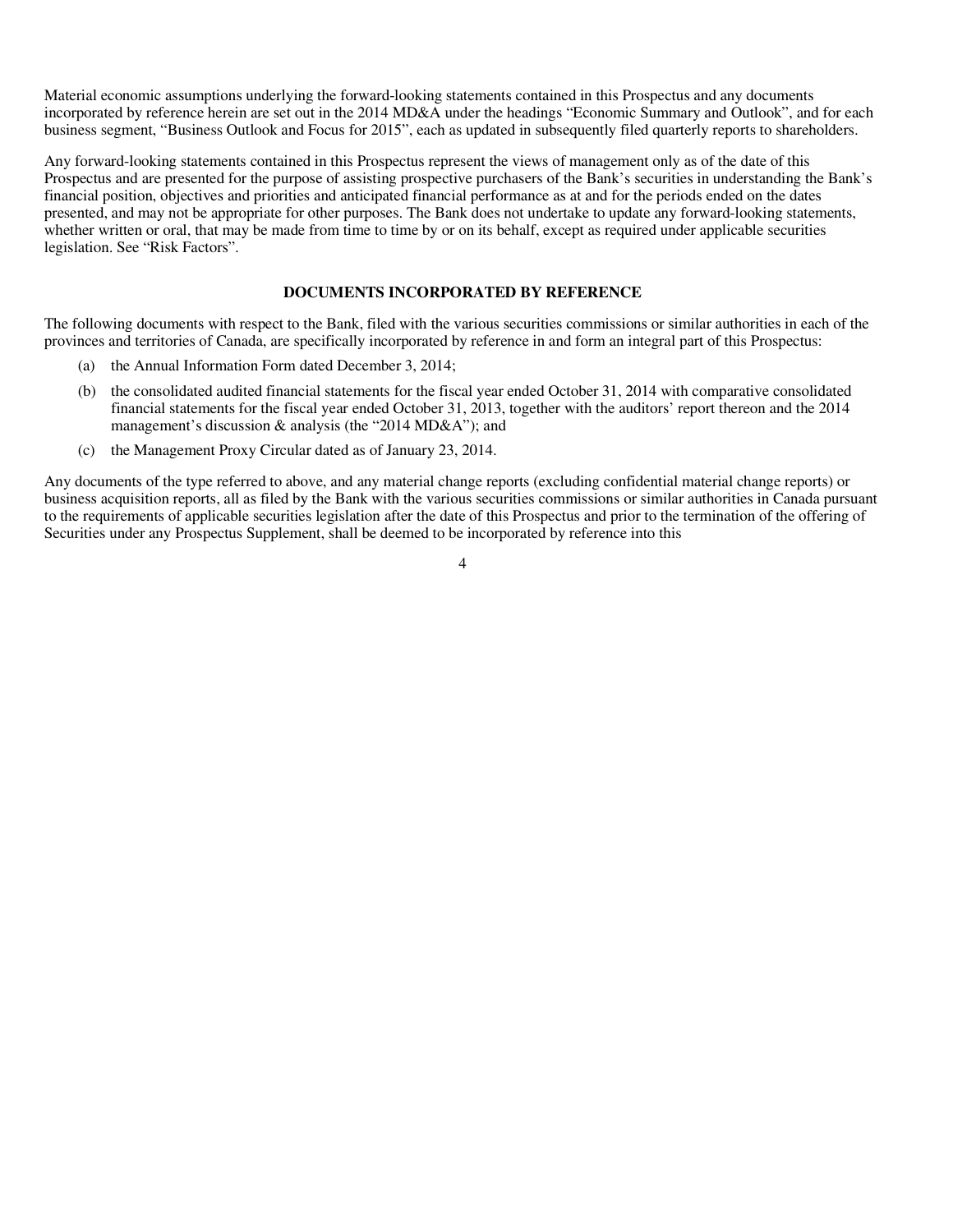Material economic assumptions underlying the forward-looking statements contained in this Prospectus and any documents incorporated by reference herein are set out in the 2014 MD&A under the headings "Economic Summary and Outlook", and for each business segment, "Business Outlook and Focus for 2015", each as updated in subsequently filed quarterly reports to shareholders.

Any forward-looking statements contained in this Prospectus represent the views of management only as of the date of this Prospectus and are presented for the purpose of assisting prospective purchasers of the Bank's securities in understanding the Bank's financial position, objectives and priorities and anticipated financial performance as at and for the periods ended on the dates presented, and may not be appropriate for other purposes. The Bank does not undertake to update any forward-looking statements, whether written or oral, that may be made from time to time by or on its behalf, except as required under applicable securities legislation. See "Risk Factors".

#### **DOCUMENTS INCORPORATED BY REFERENCE**

The following documents with respect to the Bank, filed with the various securities commissions or similar authorities in each of the provinces and territories of Canada, are specifically incorporated by reference in and form an integral part of this Prospectus:

- (a) the Annual Information Form dated December 3, 2014;
- (b) the consolidated audited financial statements for the fiscal year ended October 31, 2014 with comparative consolidated financial statements for the fiscal year ended October 31, 2013, together with the auditors' report thereon and the 2014 management's discussion & analysis (the "2014 MD&A"); and
- (c) the Management Proxy Circular dated as of January 23, 2014.

Any documents of the type referred to above, and any material change reports (excluding confidential material change reports) or business acquisition reports, all as filed by the Bank with the various securities commissions or similar authorities in Canada pursuant to the requirements of applicable securities legislation after the date of this Prospectus and prior to the termination of the offering of Securities under any Prospectus Supplement, shall be deemed to be incorporated by reference into this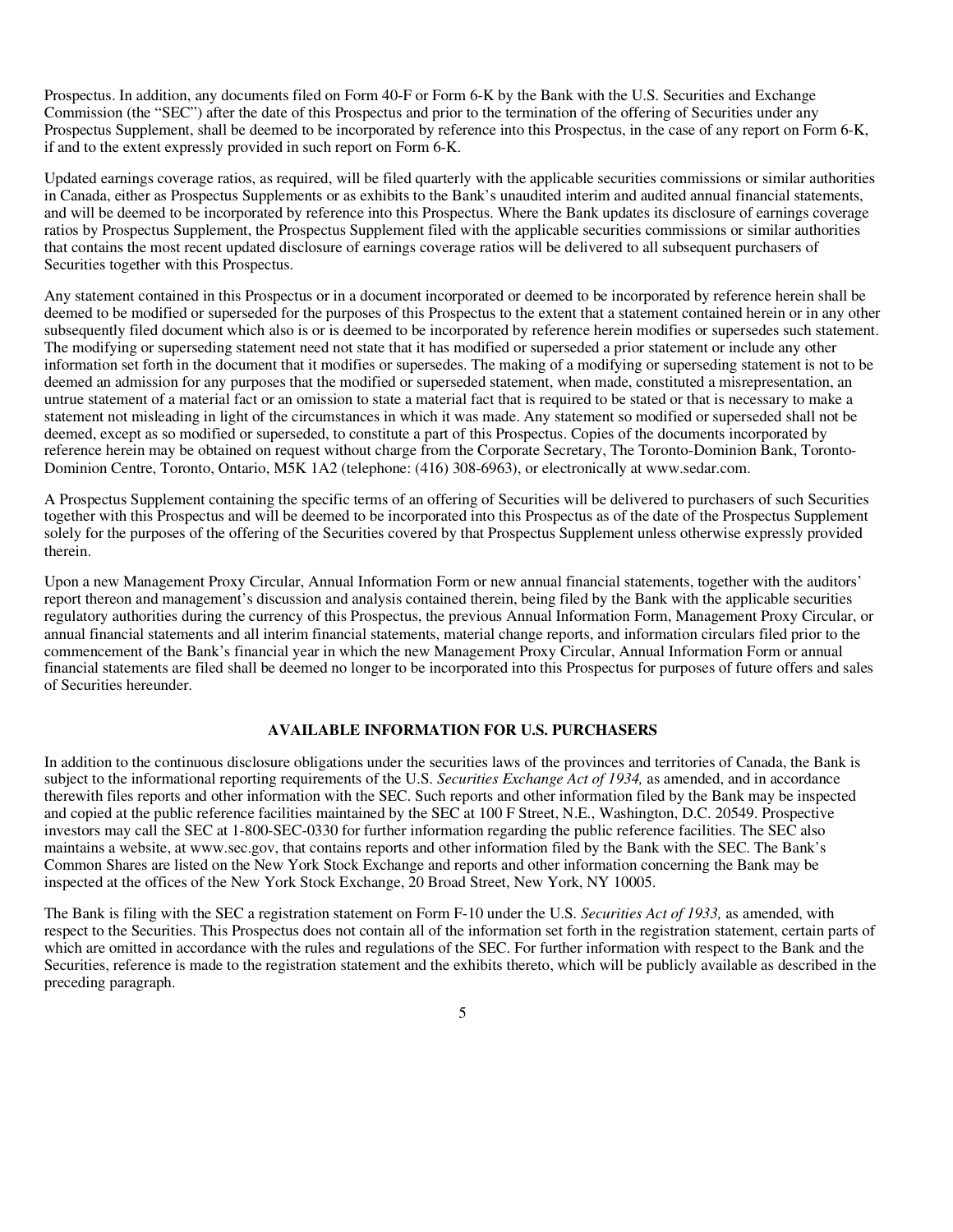Prospectus. In addition, any documents filed on Form 40-F or Form 6-K by the Bank with the U.S. Securities and Exchange Commission (the "SEC") after the date of this Prospectus and prior to the termination of the offering of Securities under any Prospectus Supplement, shall be deemed to be incorporated by reference into this Prospectus, in the case of any report on Form 6-K, if and to the extent expressly provided in such report on Form 6-K.

Updated earnings coverage ratios, as required, will be filed quarterly with the applicable securities commissions or similar authorities in Canada, either as Prospectus Supplements or as exhibits to the Bank's unaudited interim and audited annual financial statements, and will be deemed to be incorporated by reference into this Prospectus. Where the Bank updates its disclosure of earnings coverage ratios by Prospectus Supplement, the Prospectus Supplement filed with the applicable securities commissions or similar authorities that contains the most recent updated disclosure of earnings coverage ratios will be delivered to all subsequent purchasers of Securities together with this Prospectus.

Any statement contained in this Prospectus or in a document incorporated or deemed to be incorporated by reference herein shall be deemed to be modified or superseded for the purposes of this Prospectus to the extent that a statement contained herein or in any other subsequently filed document which also is or is deemed to be incorporated by reference herein modifies or supersedes such statement. The modifying or superseding statement need not state that it has modified or superseded a prior statement or include any other information set forth in the document that it modifies or supersedes. The making of a modifying or superseding statement is not to be deemed an admission for any purposes that the modified or superseded statement, when made, constituted a misrepresentation, an untrue statement of a material fact or an omission to state a material fact that is required to be stated or that is necessary to make a statement not misleading in light of the circumstances in which it was made. Any statement so modified or superseded shall not be deemed, except as so modified or superseded, to constitute a part of this Prospectus. Copies of the documents incorporated by reference herein may be obtained on request without charge from the Corporate Secretary, The Toronto-Dominion Bank, Toronto-Dominion Centre, Toronto, Ontario, M5K 1A2 (telephone: (416) 308-6963), or electronically at www.sedar.com.

A Prospectus Supplement containing the specific terms of an offering of Securities will be delivered to purchasers of such Securities together with this Prospectus and will be deemed to be incorporated into this Prospectus as of the date of the Prospectus Supplement solely for the purposes of the offering of the Securities covered by that Prospectus Supplement unless otherwise expressly provided therein.

Upon a new Management Proxy Circular, Annual Information Form or new annual financial statements, together with the auditors' report thereon and management's discussion and analysis contained therein, being filed by the Bank with the applicable securities regulatory authorities during the currency of this Prospectus, the previous Annual Information Form, Management Proxy Circular, or annual financial statements and all interim financial statements, material change reports, and information circulars filed prior to the commencement of the Bank's financial year in which the new Management Proxy Circular, Annual Information Form or annual financial statements are filed shall be deemed no longer to be incorporated into this Prospectus for purposes of future offers and sales of Securities hereunder.

#### **AVAILABLE INFORMATION FOR U.S. PURCHASERS**

In addition to the continuous disclosure obligations under the securities laws of the provinces and territories of Canada, the Bank is subject to the informational reporting requirements of the U.S. *Securities Exchange Act of 1934,* as amended, and in accordance therewith files reports and other information with the SEC. Such reports and other information filed by the Bank may be inspected and copied at the public reference facilities maintained by the SEC at 100 F Street, N.E., Washington, D.C. 20549. Prospective investors may call the SEC at 1-800-SEC-0330 for further information regarding the public reference facilities. The SEC also maintains a website, at www.sec.gov, that contains reports and other information filed by the Bank with the SEC. The Bank's Common Shares are listed on the New York Stock Exchange and reports and other information concerning the Bank may be inspected at the offices of the New York Stock Exchange, 20 Broad Street, New York, NY 10005.

The Bank is filing with the SEC a registration statement on Form F-10 under the U.S. *Securities Act of 1933,* as amended, with respect to the Securities. This Prospectus does not contain all of the information set forth in the registration statement, certain parts of which are omitted in accordance with the rules and regulations of the SEC. For further information with respect to the Bank and the Securities, reference is made to the registration statement and the exhibits thereto, which will be publicly available as described in the preceding paragraph.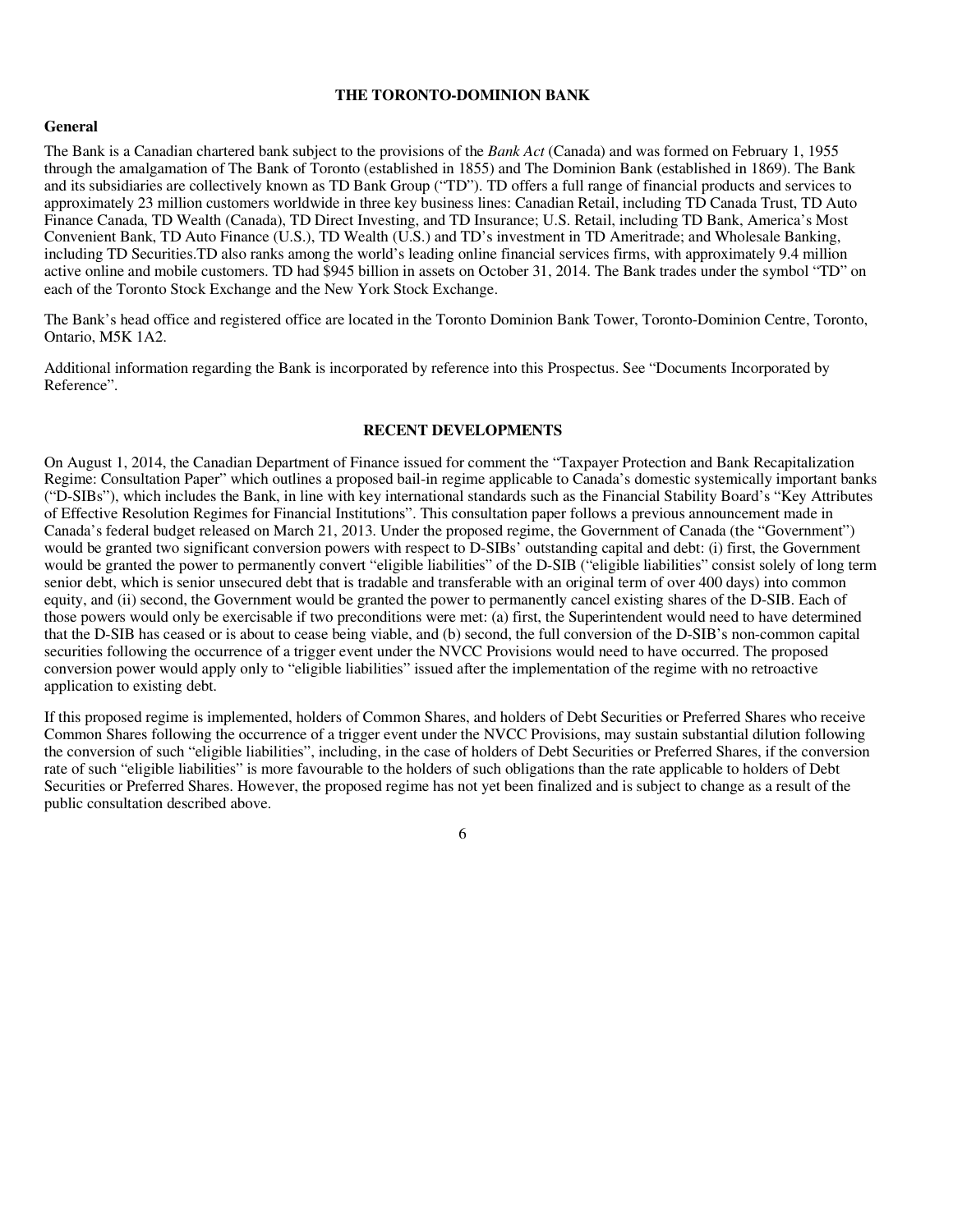#### **THE TORONTO-DOMINION BANK**

#### **General**

The Bank is a Canadian chartered bank subject to the provisions of the *Bank Act* (Canada) and was formed on February 1, 1955 through the amalgamation of The Bank of Toronto (established in 1855) and The Dominion Bank (established in 1869). The Bank and its subsidiaries are collectively known as TD Bank Group ("TD"). TD offers a full range of financial products and services to approximately 23 million customers worldwide in three key business lines: Canadian Retail, including TD Canada Trust, TD Auto Finance Canada, TD Wealth (Canada), TD Direct Investing, and TD Insurance; U.S. Retail, including TD Bank, America's Most Convenient Bank, TD Auto Finance (U.S.), TD Wealth (U.S.) and TD's investment in TD Ameritrade; and Wholesale Banking, including TD Securities.TD also ranks among the world's leading online financial services firms, with approximately 9.4 million active online and mobile customers. TD had \$945 billion in assets on October 31, 2014. The Bank trades under the symbol "TD" on each of the Toronto Stock Exchange and the New York Stock Exchange.

The Bank's head office and registered office are located in the Toronto Dominion Bank Tower, Toronto-Dominion Centre, Toronto, Ontario, M5K 1A2.

Additional information regarding the Bank is incorporated by reference into this Prospectus. See "Documents Incorporated by Reference".

#### **RECENT DEVELOPMENTS**

On August 1, 2014, the Canadian Department of Finance issued for comment the "Taxpayer Protection and Bank Recapitalization Regime: Consultation Paper" which outlines a proposed bail-in regime applicable to Canada's domestic systemically important banks ("D-SIBs"), which includes the Bank, in line with key international standards such as the Financial Stability Board's "Key Attributes of Effective Resolution Regimes for Financial Institutions". This consultation paper follows a previous announcement made in Canada's federal budget released on March 21, 2013. Under the proposed regime, the Government of Canada (the "Government") would be granted two significant conversion powers with respect to D-SIBs' outstanding capital and debt: (i) first, the Government would be granted the power to permanently convert "eligible liabilities" of the D-SIB ("eligible liabilities" consist solely of long term senior debt, which is senior unsecured debt that is tradable and transferable with an original term of over 400 days) into common equity, and (ii) second, the Government would be granted the power to permanently cancel existing shares of the D-SIB. Each of those powers would only be exercisable if two preconditions were met: (a) first, the Superintendent would need to have determined that the D-SIB has ceased or is about to cease being viable, and (b) second, the full conversion of the D-SIB's non-common capital securities following the occurrence of a trigger event under the NVCC Provisions would need to have occurred. The proposed conversion power would apply only to "eligible liabilities" issued after the implementation of the regime with no retroactive application to existing debt.

If this proposed regime is implemented, holders of Common Shares, and holders of Debt Securities or Preferred Shares who receive Common Shares following the occurrence of a trigger event under the NVCC Provisions, may sustain substantial dilution following the conversion of such "eligible liabilities", including, in the case of holders of Debt Securities or Preferred Shares, if the conversion rate of such "eligible liabilities" is more favourable to the holders of such obligations than the rate applicable to holders of Debt Securities or Preferred Shares. However, the proposed regime has not yet been finalized and is subject to change as a result of the public consultation described above.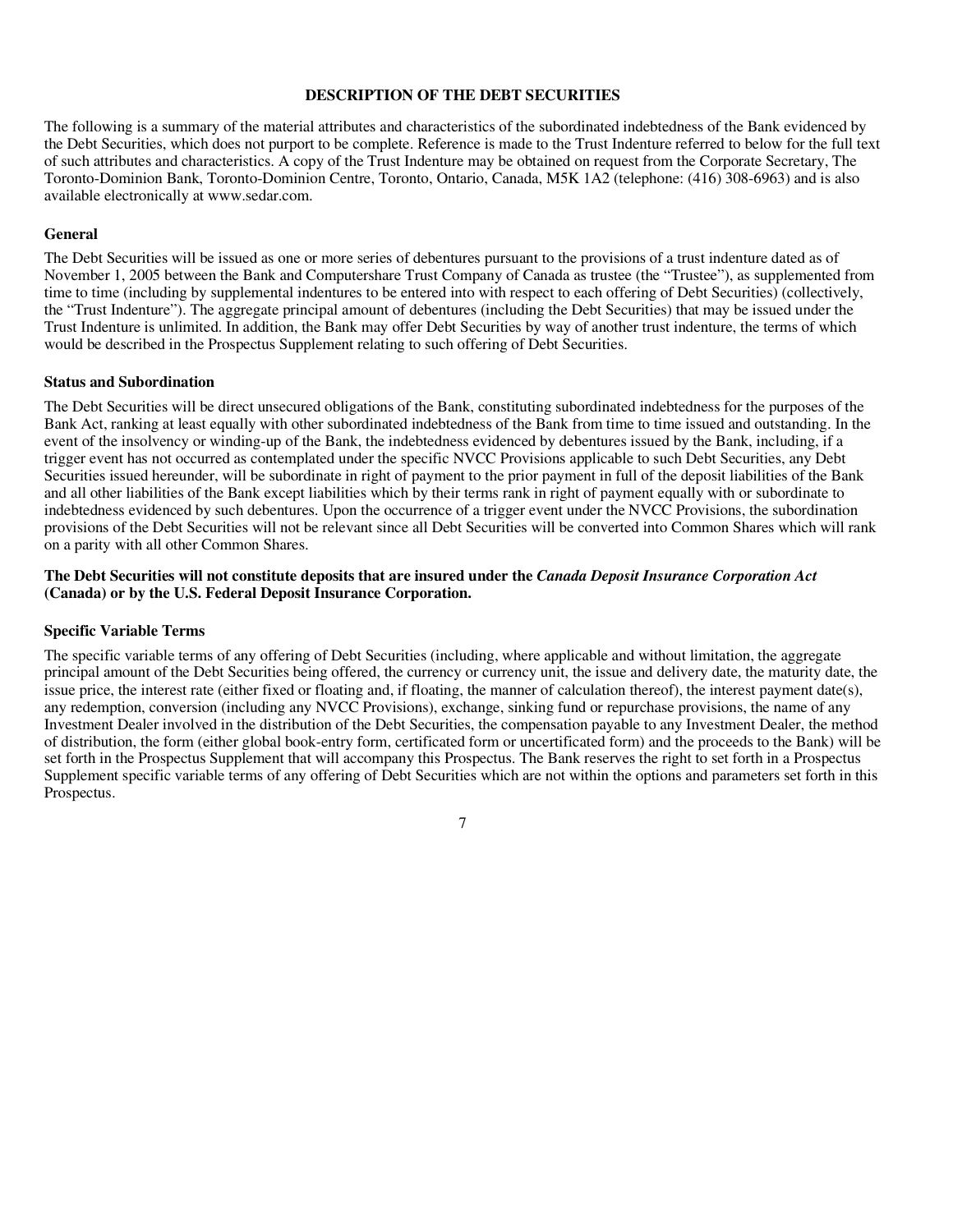#### **DESCRIPTION OF THE DEBT SECURITIES**

The following is a summary of the material attributes and characteristics of the subordinated indebtedness of the Bank evidenced by the Debt Securities, which does not purport to be complete. Reference is made to the Trust Indenture referred to below for the full text of such attributes and characteristics. A copy of the Trust Indenture may be obtained on request from the Corporate Secretary, The Toronto-Dominion Bank, Toronto-Dominion Centre, Toronto, Ontario, Canada, M5K 1A2 (telephone: (416) 308-6963) and is also available electronically at www.sedar.com.

#### **General**

The Debt Securities will be issued as one or more series of debentures pursuant to the provisions of a trust indenture dated as of November 1, 2005 between the Bank and Computershare Trust Company of Canada as trustee (the "Trustee"), as supplemented from time to time (including by supplemental indentures to be entered into with respect to each offering of Debt Securities) (collectively, the "Trust Indenture"). The aggregate principal amount of debentures (including the Debt Securities) that may be issued under the Trust Indenture is unlimited. In addition, the Bank may offer Debt Securities by way of another trust indenture, the terms of which would be described in the Prospectus Supplement relating to such offering of Debt Securities.

#### **Status and Subordination**

The Debt Securities will be direct unsecured obligations of the Bank, constituting subordinated indebtedness for the purposes of the Bank Act, ranking at least equally with other subordinated indebtedness of the Bank from time to time issued and outstanding. In the event of the insolvency or winding-up of the Bank, the indebtedness evidenced by debentures issued by the Bank, including, if a trigger event has not occurred as contemplated under the specific NVCC Provisions applicable to such Debt Securities, any Debt Securities issued hereunder, will be subordinate in right of payment to the prior payment in full of the deposit liabilities of the Bank and all other liabilities of the Bank except liabilities which by their terms rank in right of payment equally with or subordinate to indebtedness evidenced by such debentures. Upon the occurrence of a trigger event under the NVCC Provisions, the subordination provisions of the Debt Securities will not be relevant since all Debt Securities will be converted into Common Shares which will rank on a parity with all other Common Shares.

#### **The Debt Securities will not constitute deposits that are insured under the** *Canada Deposit Insurance Corporation Act* **(Canada) or by the U.S. Federal Deposit Insurance Corporation.**

#### **Specific Variable Terms**

The specific variable terms of any offering of Debt Securities (including, where applicable and without limitation, the aggregate principal amount of the Debt Securities being offered, the currency or currency unit, the issue and delivery date, the maturity date, the issue price, the interest rate (either fixed or floating and, if floating, the manner of calculation thereof), the interest payment date(s), any redemption, conversion (including any NVCC Provisions), exchange, sinking fund or repurchase provisions, the name of any Investment Dealer involved in the distribution of the Debt Securities, the compensation payable to any Investment Dealer, the method of distribution, the form (either global book-entry form, certificated form or uncertificated form) and the proceeds to the Bank) will be set forth in the Prospectus Supplement that will accompany this Prospectus. The Bank reserves the right to set forth in a Prospectus Supplement specific variable terms of any offering of Debt Securities which are not within the options and parameters set forth in this Prospectus.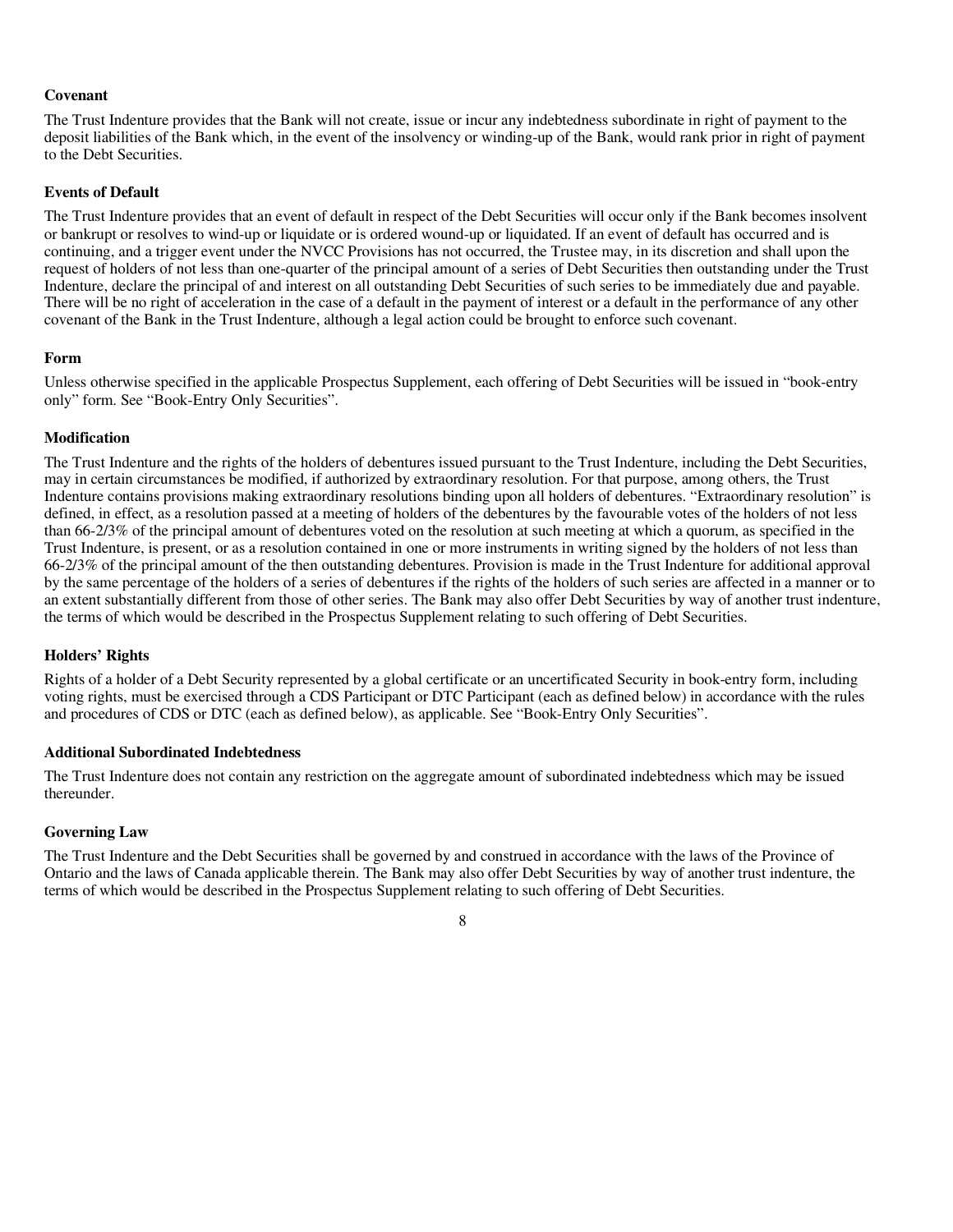#### **Covenant**

The Trust Indenture provides that the Bank will not create, issue or incur any indebtedness subordinate in right of payment to the deposit liabilities of the Bank which, in the event of the insolvency or winding-up of the Bank, would rank prior in right of payment to the Debt Securities.

#### **Events of Default**

The Trust Indenture provides that an event of default in respect of the Debt Securities will occur only if the Bank becomes insolvent or bankrupt or resolves to wind-up or liquidate or is ordered wound-up or liquidated. If an event of default has occurred and is continuing, and a trigger event under the NVCC Provisions has not occurred, the Trustee may, in its discretion and shall upon the request of holders of not less than one-quarter of the principal amount of a series of Debt Securities then outstanding under the Trust Indenture, declare the principal of and interest on all outstanding Debt Securities of such series to be immediately due and payable. There will be no right of acceleration in the case of a default in the payment of interest or a default in the performance of any other covenant of the Bank in the Trust Indenture, although a legal action could be brought to enforce such covenant.

#### **Form**

Unless otherwise specified in the applicable Prospectus Supplement, each offering of Debt Securities will be issued in "book-entry only" form. See "Book-Entry Only Securities".

#### **Modification**

The Trust Indenture and the rights of the holders of debentures issued pursuant to the Trust Indenture, including the Debt Securities, may in certain circumstances be modified, if authorized by extraordinary resolution. For that purpose, among others, the Trust Indenture contains provisions making extraordinary resolutions binding upon all holders of debentures. "Extraordinary resolution" is defined, in effect, as a resolution passed at a meeting of holders of the debentures by the favourable votes of the holders of not less than 66-2/3% of the principal amount of debentures voted on the resolution at such meeting at which a quorum, as specified in the Trust Indenture, is present, or as a resolution contained in one or more instruments in writing signed by the holders of not less than 66-2/3% of the principal amount of the then outstanding debentures. Provision is made in the Trust Indenture for additional approval by the same percentage of the holders of a series of debentures if the rights of the holders of such series are affected in a manner or to an extent substantially different from those of other series. The Bank may also offer Debt Securities by way of another trust indenture, the terms of which would be described in the Prospectus Supplement relating to such offering of Debt Securities.

#### **Holders' Rights**

Rights of a holder of a Debt Security represented by a global certificate or an uncertificated Security in book-entry form, including voting rights, must be exercised through a CDS Participant or DTC Participant (each as defined below) in accordance with the rules and procedures of CDS or DTC (each as defined below), as applicable. See "Book-Entry Only Securities".

#### **Additional Subordinated Indebtedness**

The Trust Indenture does not contain any restriction on the aggregate amount of subordinated indebtedness which may be issued thereunder.

## **Governing Law**

The Trust Indenture and the Debt Securities shall be governed by and construed in accordance with the laws of the Province of Ontario and the laws of Canada applicable therein. The Bank may also offer Debt Securities by way of another trust indenture, the terms of which would be described in the Prospectus Supplement relating to such offering of Debt Securities.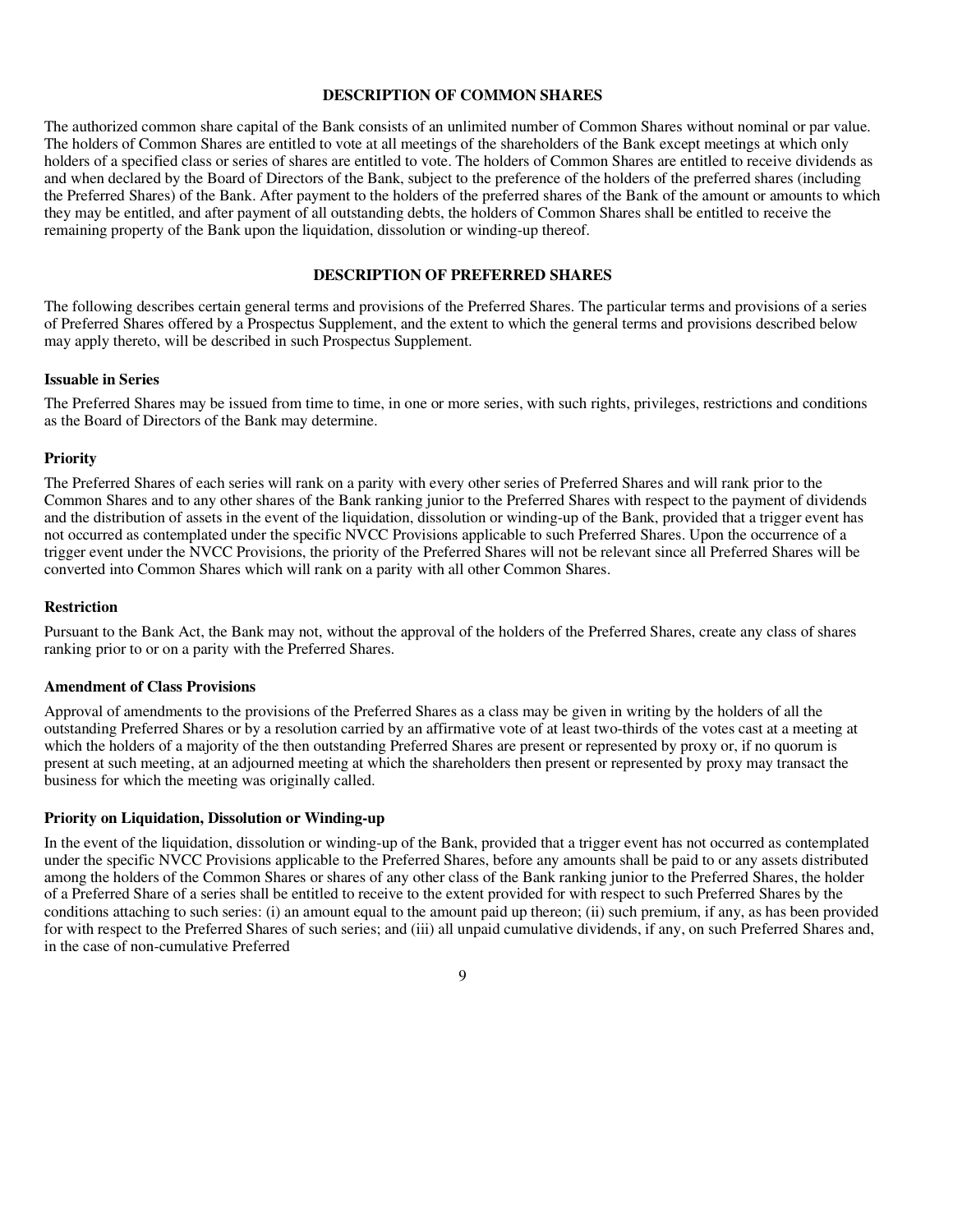#### **DESCRIPTION OF COMMON SHARES**

The authorized common share capital of the Bank consists of an unlimited number of Common Shares without nominal or par value. The holders of Common Shares are entitled to vote at all meetings of the shareholders of the Bank except meetings at which only holders of a specified class or series of shares are entitled to vote. The holders of Common Shares are entitled to receive dividends as and when declared by the Board of Directors of the Bank, subject to the preference of the holders of the preferred shares (including the Preferred Shares) of the Bank. After payment to the holders of the preferred shares of the Bank of the amount or amounts to which they may be entitled, and after payment of all outstanding debts, the holders of Common Shares shall be entitled to receive the remaining property of the Bank upon the liquidation, dissolution or winding-up thereof.

#### **DESCRIPTION OF PREFERRED SHARES**

The following describes certain general terms and provisions of the Preferred Shares. The particular terms and provisions of a series of Preferred Shares offered by a Prospectus Supplement, and the extent to which the general terms and provisions described below may apply thereto, will be described in such Prospectus Supplement.

#### **Issuable in Series**

The Preferred Shares may be issued from time to time, in one or more series, with such rights, privileges, restrictions and conditions as the Board of Directors of the Bank may determine.

#### **Priority**

The Preferred Shares of each series will rank on a parity with every other series of Preferred Shares and will rank prior to the Common Shares and to any other shares of the Bank ranking junior to the Preferred Shares with respect to the payment of dividends and the distribution of assets in the event of the liquidation, dissolution or winding-up of the Bank, provided that a trigger event has not occurred as contemplated under the specific NVCC Provisions applicable to such Preferred Shares. Upon the occurrence of a trigger event under the NVCC Provisions, the priority of the Preferred Shares will not be relevant since all Preferred Shares will be converted into Common Shares which will rank on a parity with all other Common Shares.

#### **Restriction**

Pursuant to the Bank Act, the Bank may not, without the approval of the holders of the Preferred Shares, create any class of shares ranking prior to or on a parity with the Preferred Shares.

#### **Amendment of Class Provisions**

Approval of amendments to the provisions of the Preferred Shares as a class may be given in writing by the holders of all the outstanding Preferred Shares or by a resolution carried by an affirmative vote of at least two-thirds of the votes cast at a meeting at which the holders of a majority of the then outstanding Preferred Shares are present or represented by proxy or, if no quorum is present at such meeting, at an adjourned meeting at which the shareholders then present or represented by proxy may transact the business for which the meeting was originally called.

#### **Priority on Liquidation, Dissolution or Winding-up**

In the event of the liquidation, dissolution or winding-up of the Bank, provided that a trigger event has not occurred as contemplated under the specific NVCC Provisions applicable to the Preferred Shares, before any amounts shall be paid to or any assets distributed among the holders of the Common Shares or shares of any other class of the Bank ranking junior to the Preferred Shares, the holder of a Preferred Share of a series shall be entitled to receive to the extent provided for with respect to such Preferred Shares by the conditions attaching to such series: (i) an amount equal to the amount paid up thereon; (ii) such premium, if any, as has been provided for with respect to the Preferred Shares of such series; and (iii) all unpaid cumulative dividends, if any, on such Preferred Shares and, in the case of non-cumulative Preferred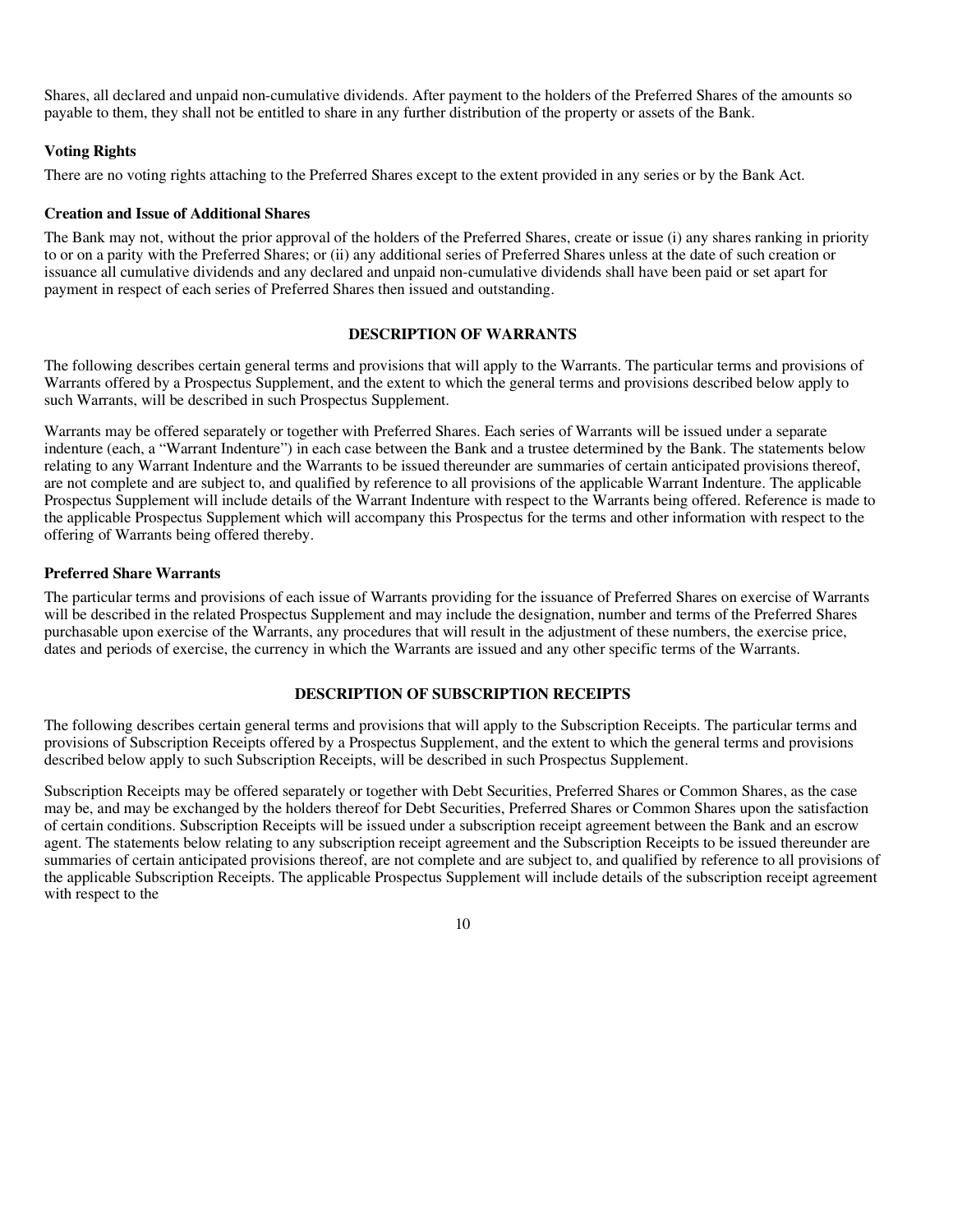Shares, all declared and unpaid non-cumulative dividends. After payment to the holders of the Preferred Shares of the amounts so payable to them, they shall not be entitled to share in any further distribution of the property or assets of the Bank.

#### **Voting Rights**

There are no voting rights attaching to the Preferred Shares except to the extent provided in any series or by the Bank Act.

#### **Creation and Issue of Additional Shares**

The Bank may not, without the prior approval of the holders of the Preferred Shares, create or issue (i) any shares ranking in priority to or on a parity with the Preferred Shares; or (ii) any additional series of Preferred Shares unless at the date of such creation or issuance all cumulative dividends and any declared and unpaid non-cumulative dividends shall have been paid or set apart for payment in respect of each series of Preferred Shares then issued and outstanding.

#### **DESCRIPTION OF WARRANTS**

The following describes certain general terms and provisions that will apply to the Warrants. The particular terms and provisions of Warrants offered by a Prospectus Supplement, and the extent to which the general terms and provisions described below apply to such Warrants, will be described in such Prospectus Supplement.

Warrants may be offered separately or together with Preferred Shares. Each series of Warrants will be issued under a separate indenture (each, a "Warrant Indenture") in each case between the Bank and a trustee determined by the Bank. The statements below relating to any Warrant Indenture and the Warrants to be issued thereunder are summaries of certain anticipated provisions thereof, are not complete and are subject to, and qualified by reference to all provisions of the applicable Warrant Indenture. The applicable Prospectus Supplement will include details of the Warrant Indenture with respect to the Warrants being offered. Reference is made to the applicable Prospectus Supplement which will accompany this Prospectus for the terms and other information with respect to the offering of Warrants being offered thereby.

#### **Preferred Share Warrants**

The particular terms and provisions of each issue of Warrants providing for the issuance of Preferred Shares on exercise of Warrants will be described in the related Prospectus Supplement and may include the designation, number and terms of the Preferred Shares purchasable upon exercise of the Warrants, any procedures that will result in the adjustment of these numbers, the exercise price, dates and periods of exercise, the currency in which the Warrants are issued and any other specific terms of the Warrants.

#### **DESCRIPTION OF SUBSCRIPTION RECEIPTS**

The following describes certain general terms and provisions that will apply to the Subscription Receipts. The particular terms and provisions of Subscription Receipts offered by a Prospectus Supplement, and the extent to which the general terms and provisions described below apply to such Subscription Receipts, will be described in such Prospectus Supplement.

Subscription Receipts may be offered separately or together with Debt Securities, Preferred Shares or Common Shares, as the case may be, and may be exchanged by the holders thereof for Debt Securities, Preferred Shares or Common Shares upon the satisfaction of certain conditions. Subscription Receipts will be issued under a subscription receipt agreement between the Bank and an escrow agent. The statements below relating to any subscription receipt agreement and the Subscription Receipts to be issued thereunder are summaries of certain anticipated provisions thereof, are not complete and are subject to, and qualified by reference to all provisions of the applicable Subscription Receipts. The applicable Prospectus Supplement will include details of the subscription receipt agreement with respect to the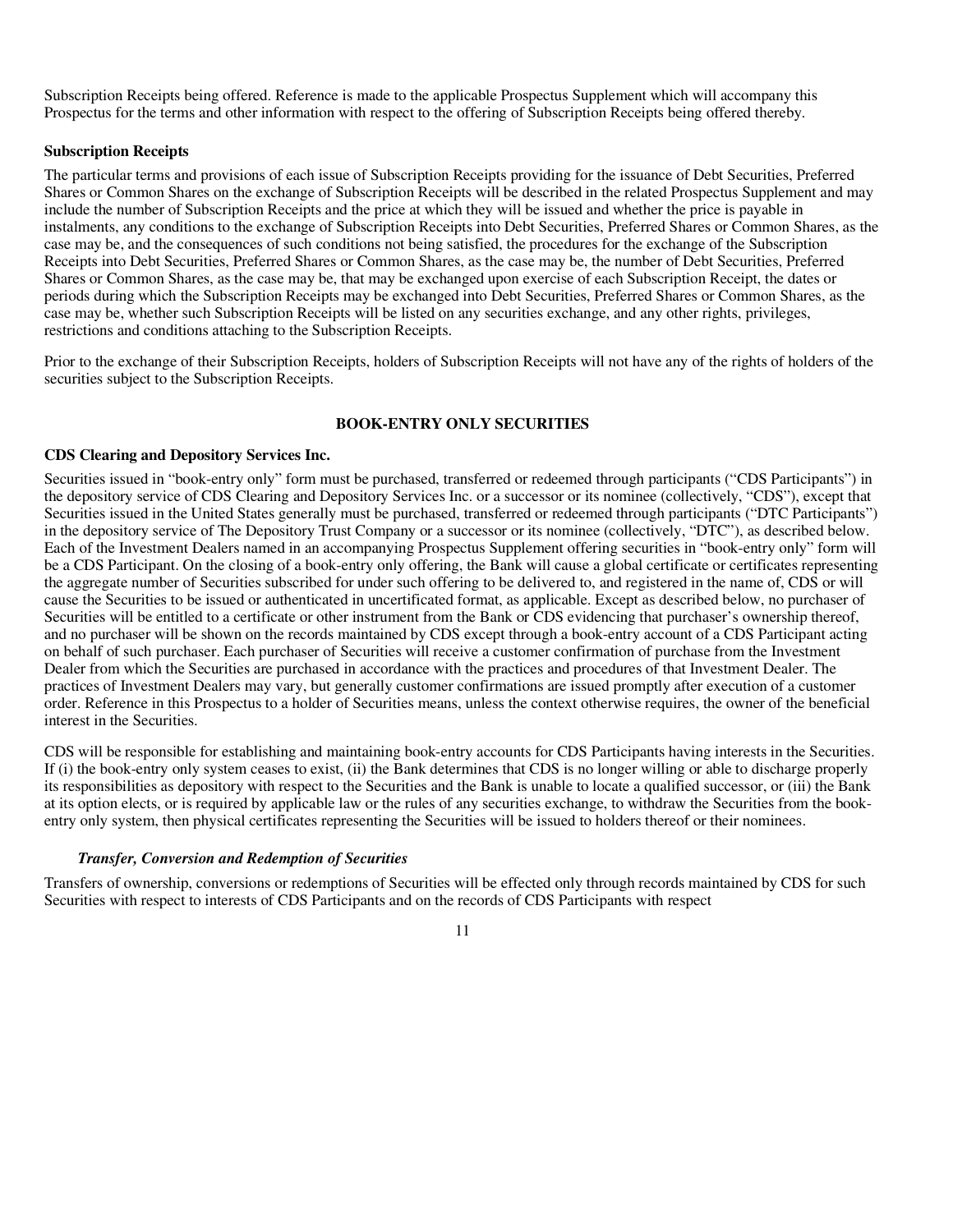Subscription Receipts being offered. Reference is made to the applicable Prospectus Supplement which will accompany this Prospectus for the terms and other information with respect to the offering of Subscription Receipts being offered thereby.

#### **Subscription Receipts**

The particular terms and provisions of each issue of Subscription Receipts providing for the issuance of Debt Securities, Preferred Shares or Common Shares on the exchange of Subscription Receipts will be described in the related Prospectus Supplement and may include the number of Subscription Receipts and the price at which they will be issued and whether the price is payable in instalments, any conditions to the exchange of Subscription Receipts into Debt Securities, Preferred Shares or Common Shares, as the case may be, and the consequences of such conditions not being satisfied, the procedures for the exchange of the Subscription Receipts into Debt Securities, Preferred Shares or Common Shares, as the case may be, the number of Debt Securities, Preferred Shares or Common Shares, as the case may be, that may be exchanged upon exercise of each Subscription Receipt, the dates or periods during which the Subscription Receipts may be exchanged into Debt Securities, Preferred Shares or Common Shares, as the case may be, whether such Subscription Receipts will be listed on any securities exchange, and any other rights, privileges, restrictions and conditions attaching to the Subscription Receipts.

Prior to the exchange of their Subscription Receipts, holders of Subscription Receipts will not have any of the rights of holders of the securities subject to the Subscription Receipts.

#### **BOOK-ENTRY ONLY SECURITIES**

#### **CDS Clearing and Depository Services Inc.**

Securities issued in "book-entry only" form must be purchased, transferred or redeemed through participants ("CDS Participants") in the depository service of CDS Clearing and Depository Services Inc. or a successor or its nominee (collectively, "CDS"), except that Securities issued in the United States generally must be purchased, transferred or redeemed through participants ("DTC Participants") in the depository service of The Depository Trust Company or a successor or its nominee (collectively, "DTC"), as described below. Each of the Investment Dealers named in an accompanying Prospectus Supplement offering securities in "book-entry only" form will be a CDS Participant. On the closing of a book-entry only offering, the Bank will cause a global certificate or certificates representing the aggregate number of Securities subscribed for under such offering to be delivered to, and registered in the name of, CDS or will cause the Securities to be issued or authenticated in uncertificated format, as applicable. Except as described below, no purchaser of Securities will be entitled to a certificate or other instrument from the Bank or CDS evidencing that purchaser's ownership thereof, and no purchaser will be shown on the records maintained by CDS except through a book-entry account of a CDS Participant acting on behalf of such purchaser. Each purchaser of Securities will receive a customer confirmation of purchase from the Investment Dealer from which the Securities are purchased in accordance with the practices and procedures of that Investment Dealer. The practices of Investment Dealers may vary, but generally customer confirmations are issued promptly after execution of a customer order. Reference in this Prospectus to a holder of Securities means, unless the context otherwise requires, the owner of the beneficial interest in the Securities.

CDS will be responsible for establishing and maintaining book-entry accounts for CDS Participants having interests in the Securities. If (i) the book-entry only system ceases to exist, (ii) the Bank determines that CDS is no longer willing or able to discharge properly its responsibilities as depository with respect to the Securities and the Bank is unable to locate a qualified successor, or (iii) the Bank at its option elects, or is required by applicable law or the rules of any securities exchange, to withdraw the Securities from the bookentry only system, then physical certificates representing the Securities will be issued to holders thereof or their nominees.

#### *Transfer, Conversion and Redemption of Securities*

Transfers of ownership, conversions or redemptions of Securities will be effected only through records maintained by CDS for such Securities with respect to interests of CDS Participants and on the records of CDS Participants with respect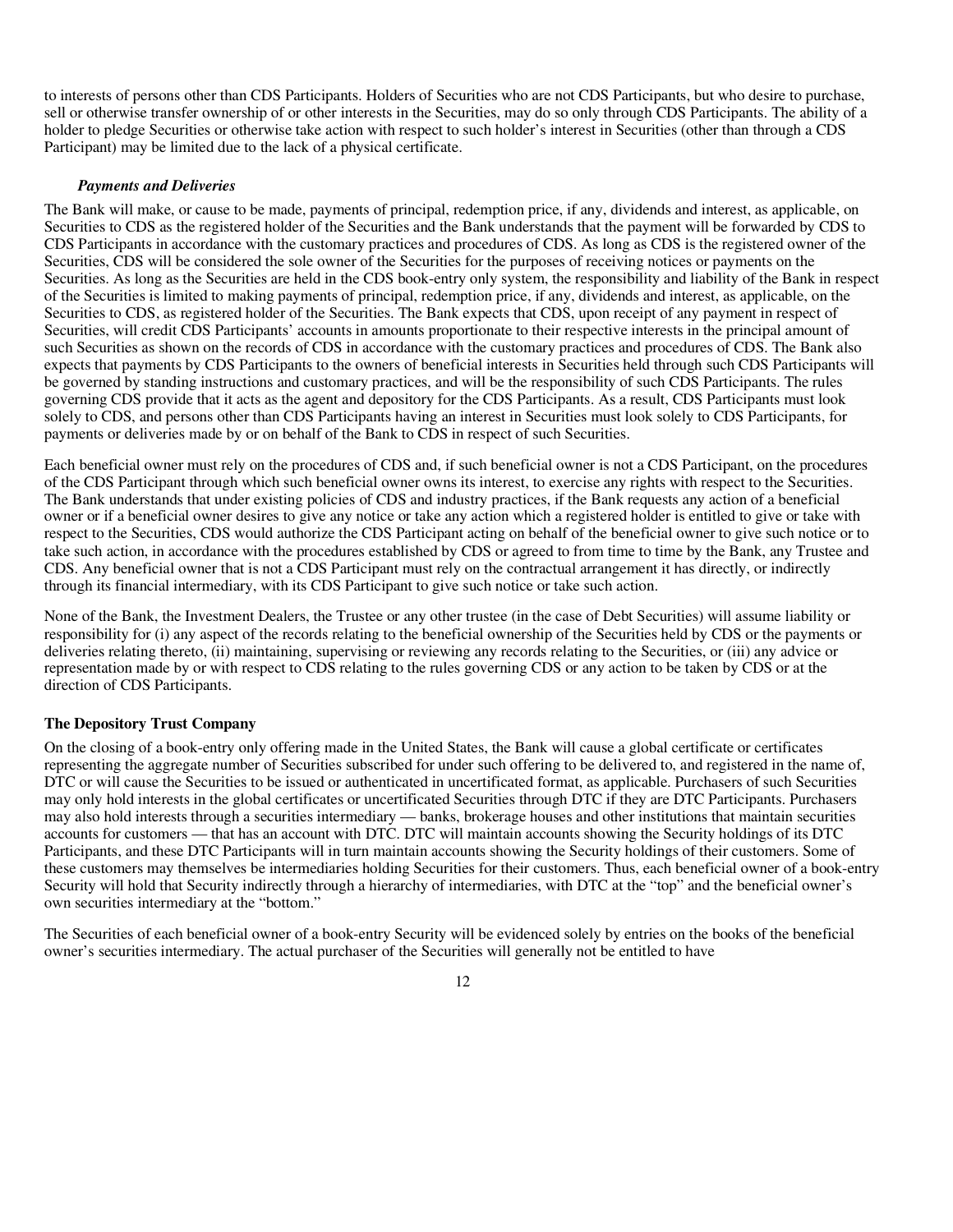to interests of persons other than CDS Participants. Holders of Securities who are not CDS Participants, but who desire to purchase, sell or otherwise transfer ownership of or other interests in the Securities, may do so only through CDS Participants. The ability of a holder to pledge Securities or otherwise take action with respect to such holder's interest in Securities (other than through a CDS Participant) may be limited due to the lack of a physical certificate.

#### *Payments and Deliveries*

The Bank will make, or cause to be made, payments of principal, redemption price, if any, dividends and interest, as applicable, on Securities to CDS as the registered holder of the Securities and the Bank understands that the payment will be forwarded by CDS to CDS Participants in accordance with the customary practices and procedures of CDS. As long as CDS is the registered owner of the Securities, CDS will be considered the sole owner of the Securities for the purposes of receiving notices or payments on the Securities. As long as the Securities are held in the CDS book-entry only system, the responsibility and liability of the Bank in respect of the Securities is limited to making payments of principal, redemption price, if any, dividends and interest, as applicable, on the Securities to CDS, as registered holder of the Securities. The Bank expects that CDS, upon receipt of any payment in respect of Securities, will credit CDS Participants' accounts in amounts proportionate to their respective interests in the principal amount of such Securities as shown on the records of CDS in accordance with the customary practices and procedures of CDS. The Bank also expects that payments by CDS Participants to the owners of beneficial interests in Securities held through such CDS Participants will be governed by standing instructions and customary practices, and will be the responsibility of such CDS Participants. The rules governing CDS provide that it acts as the agent and depository for the CDS Participants. As a result, CDS Participants must look solely to CDS, and persons other than CDS Participants having an interest in Securities must look solely to CDS Participants, for payments or deliveries made by or on behalf of the Bank to CDS in respect of such Securities.

Each beneficial owner must rely on the procedures of CDS and, if such beneficial owner is not a CDS Participant, on the procedures of the CDS Participant through which such beneficial owner owns its interest, to exercise any rights with respect to the Securities. The Bank understands that under existing policies of CDS and industry practices, if the Bank requests any action of a beneficial owner or if a beneficial owner desires to give any notice or take any action which a registered holder is entitled to give or take with respect to the Securities, CDS would authorize the CDS Participant acting on behalf of the beneficial owner to give such notice or to take such action, in accordance with the procedures established by CDS or agreed to from time to time by the Bank, any Trustee and CDS. Any beneficial owner that is not a CDS Participant must rely on the contractual arrangement it has directly, or indirectly through its financial intermediary, with its CDS Participant to give such notice or take such action.

None of the Bank, the Investment Dealers, the Trustee or any other trustee (in the case of Debt Securities) will assume liability or responsibility for (i) any aspect of the records relating to the beneficial ownership of the Securities held by CDS or the payments or deliveries relating thereto, (ii) maintaining, supervising or reviewing any records relating to the Securities, or (iii) any advice or representation made by or with respect to CDS relating to the rules governing CDS or any action to be taken by CDS or at the direction of CDS Participants.

#### **The Depository Trust Company**

On the closing of a book-entry only offering made in the United States, the Bank will cause a global certificate or certificates representing the aggregate number of Securities subscribed for under such offering to be delivered to, and registered in the name of, DTC or will cause the Securities to be issued or authenticated in uncertificated format, as applicable. Purchasers of such Securities may only hold interests in the global certificates or uncertificated Securities through DTC if they are DTC Participants. Purchasers may also hold interests through a securities intermediary — banks, brokerage houses and other institutions that maintain securities accounts for customers — that has an account with DTC. DTC will maintain accounts showing the Security holdings of its DTC Participants, and these DTC Participants will in turn maintain accounts showing the Security holdings of their customers. Some of these customers may themselves be intermediaries holding Securities for their customers. Thus, each beneficial owner of a book-entry Security will hold that Security indirectly through a hierarchy of intermediaries, with DTC at the "top" and the beneficial owner's own securities intermediary at the "bottom."

The Securities of each beneficial owner of a book-entry Security will be evidenced solely by entries on the books of the beneficial owner's securities intermediary. The actual purchaser of the Securities will generally not be entitled to have

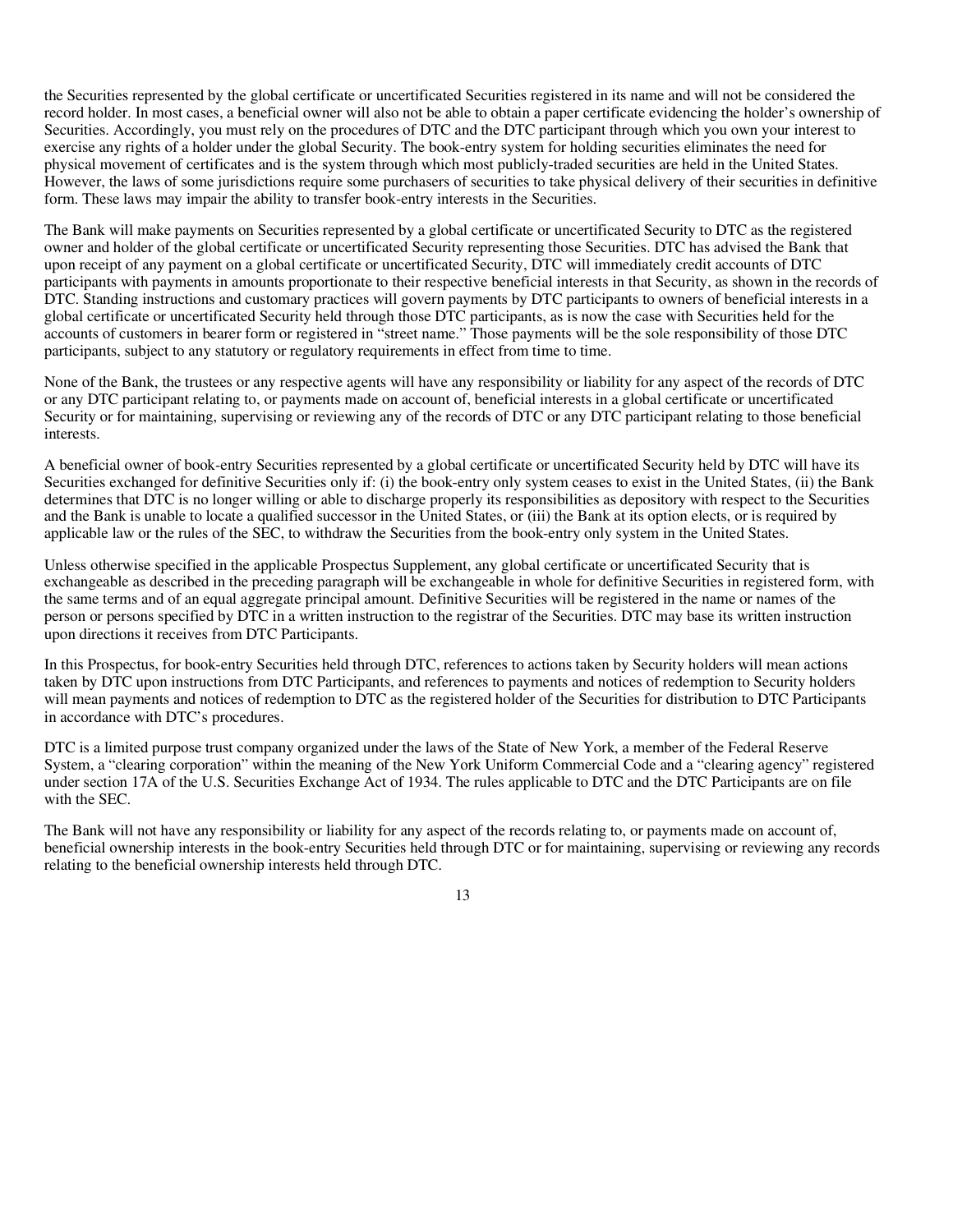the Securities represented by the global certificate or uncertificated Securities registered in its name and will not be considered the record holder. In most cases, a beneficial owner will also not be able to obtain a paper certificate evidencing the holder's ownership of Securities. Accordingly, you must rely on the procedures of DTC and the DTC participant through which you own your interest to exercise any rights of a holder under the global Security. The book-entry system for holding securities eliminates the need for physical movement of certificates and is the system through which most publicly-traded securities are held in the United States. However, the laws of some jurisdictions require some purchasers of securities to take physical delivery of their securities in definitive form. These laws may impair the ability to transfer book-entry interests in the Securities.

The Bank will make payments on Securities represented by a global certificate or uncertificated Security to DTC as the registered owner and holder of the global certificate or uncertificated Security representing those Securities. DTC has advised the Bank that upon receipt of any payment on a global certificate or uncertificated Security, DTC will immediately credit accounts of DTC participants with payments in amounts proportionate to their respective beneficial interests in that Security, as shown in the records of DTC. Standing instructions and customary practices will govern payments by DTC participants to owners of beneficial interests in a global certificate or uncertificated Security held through those DTC participants, as is now the case with Securities held for the accounts of customers in bearer form or registered in "street name." Those payments will be the sole responsibility of those DTC participants, subject to any statutory or regulatory requirements in effect from time to time.

None of the Bank, the trustees or any respective agents will have any responsibility or liability for any aspect of the records of DTC or any DTC participant relating to, or payments made on account of, beneficial interests in a global certificate or uncertificated Security or for maintaining, supervising or reviewing any of the records of DTC or any DTC participant relating to those beneficial interests.

A beneficial owner of book-entry Securities represented by a global certificate or uncertificated Security held by DTC will have its Securities exchanged for definitive Securities only if: (i) the book-entry only system ceases to exist in the United States, (ii) the Bank determines that DTC is no longer willing or able to discharge properly its responsibilities as depository with respect to the Securities and the Bank is unable to locate a qualified successor in the United States, or (iii) the Bank at its option elects, or is required by applicable law or the rules of the SEC, to withdraw the Securities from the book-entry only system in the United States.

Unless otherwise specified in the applicable Prospectus Supplement, any global certificate or uncertificated Security that is exchangeable as described in the preceding paragraph will be exchangeable in whole for definitive Securities in registered form, with the same terms and of an equal aggregate principal amount. Definitive Securities will be registered in the name or names of the person or persons specified by DTC in a written instruction to the registrar of the Securities. DTC may base its written instruction upon directions it receives from DTC Participants.

In this Prospectus, for book-entry Securities held through DTC, references to actions taken by Security holders will mean actions taken by DTC upon instructions from DTC Participants, and references to payments and notices of redemption to Security holders will mean payments and notices of redemption to DTC as the registered holder of the Securities for distribution to DTC Participants in accordance with DTC's procedures.

DTC is a limited purpose trust company organized under the laws of the State of New York, a member of the Federal Reserve System, a "clearing corporation" within the meaning of the New York Uniform Commercial Code and a "clearing agency" registered under section 17A of the U.S. Securities Exchange Act of 1934. The rules applicable to DTC and the DTC Participants are on file with the SEC.

The Bank will not have any responsibility or liability for any aspect of the records relating to, or payments made on account of, beneficial ownership interests in the book-entry Securities held through DTC or for maintaining, supervising or reviewing any records relating to the beneficial ownership interests held through DTC.

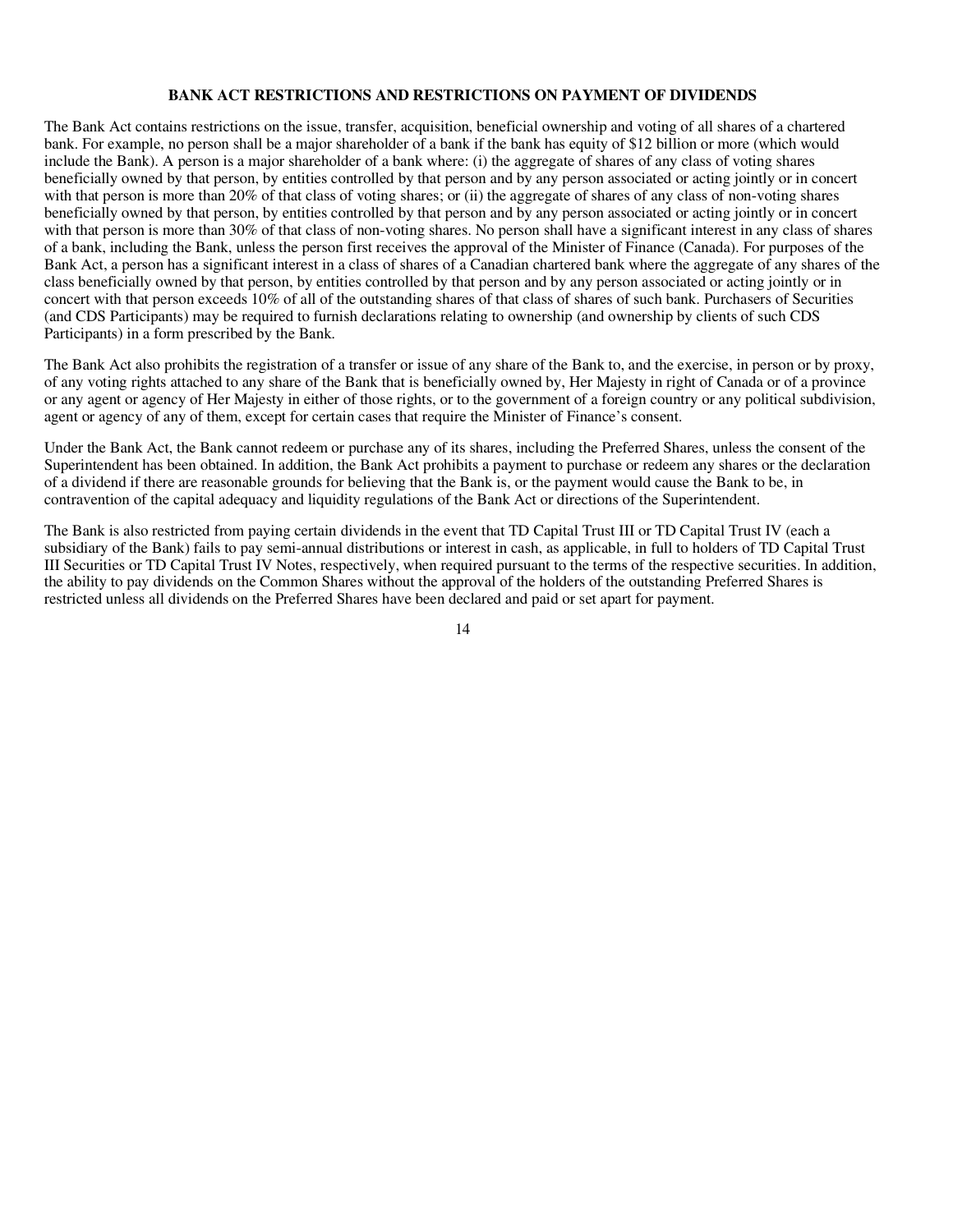#### **BANK ACT RESTRICTIONS AND RESTRICTIONS ON PAYMENT OF DIVIDENDS**

The Bank Act contains restrictions on the issue, transfer, acquisition, beneficial ownership and voting of all shares of a chartered bank. For example, no person shall be a major shareholder of a bank if the bank has equity of \$12 billion or more (which would include the Bank). A person is a major shareholder of a bank where: (i) the aggregate of shares of any class of voting shares beneficially owned by that person, by entities controlled by that person and by any person associated or acting jointly or in concert with that person is more than 20% of that class of voting shares; or (ii) the aggregate of shares of any class of non-voting shares beneficially owned by that person, by entities controlled by that person and by any person associated or acting jointly or in concert with that person is more than 30% of that class of non-voting shares. No person shall have a significant interest in any class of shares of a bank, including the Bank, unless the person first receives the approval of the Minister of Finance (Canada). For purposes of the Bank Act, a person has a significant interest in a class of shares of a Canadian chartered bank where the aggregate of any shares of the class beneficially owned by that person, by entities controlled by that person and by any person associated or acting jointly or in concert with that person exceeds 10% of all of the outstanding shares of that class of shares of such bank. Purchasers of Securities (and CDS Participants) may be required to furnish declarations relating to ownership (and ownership by clients of such CDS Participants) in a form prescribed by the Bank.

The Bank Act also prohibits the registration of a transfer or issue of any share of the Bank to, and the exercise, in person or by proxy, of any voting rights attached to any share of the Bank that is beneficially owned by, Her Majesty in right of Canada or of a province or any agent or agency of Her Majesty in either of those rights, or to the government of a foreign country or any political subdivision, agent or agency of any of them, except for certain cases that require the Minister of Finance's consent.

Under the Bank Act, the Bank cannot redeem or purchase any of its shares, including the Preferred Shares, unless the consent of the Superintendent has been obtained. In addition, the Bank Act prohibits a payment to purchase or redeem any shares or the declaration of a dividend if there are reasonable grounds for believing that the Bank is, or the payment would cause the Bank to be, in contravention of the capital adequacy and liquidity regulations of the Bank Act or directions of the Superintendent.

The Bank is also restricted from paying certain dividends in the event that TD Capital Trust III or TD Capital Trust IV (each a subsidiary of the Bank) fails to pay semi-annual distributions or interest in cash, as applicable, in full to holders of TD Capital Trust III Securities or TD Capital Trust IV Notes, respectively, when required pursuant to the terms of the respective securities. In addition, the ability to pay dividends on the Common Shares without the approval of the holders of the outstanding Preferred Shares is restricted unless all dividends on the Preferred Shares have been declared and paid or set apart for payment.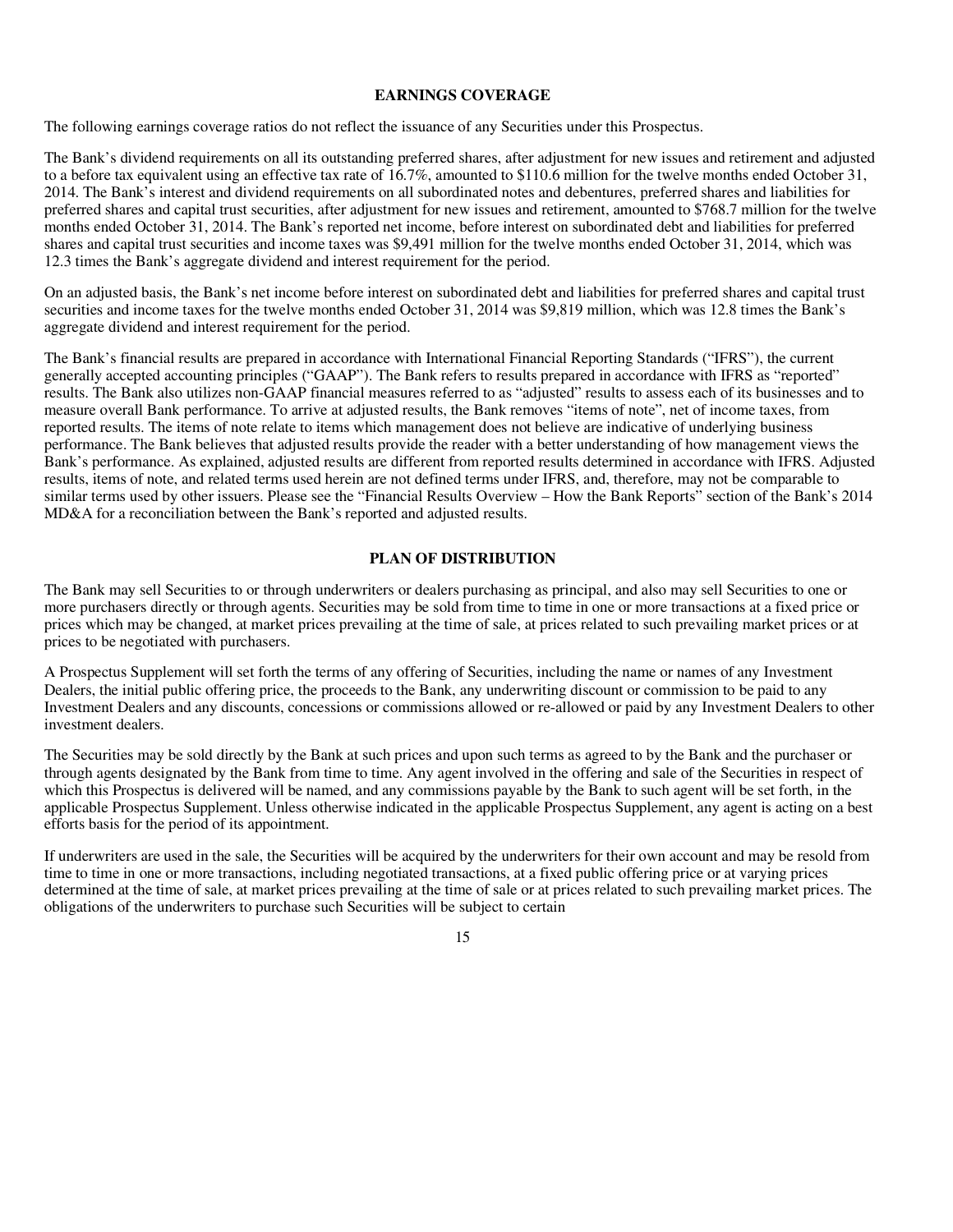#### **EARNINGS COVERAGE**

The following earnings coverage ratios do not reflect the issuance of any Securities under this Prospectus.

The Bank's dividend requirements on all its outstanding preferred shares, after adjustment for new issues and retirement and adjusted to a before tax equivalent using an effective tax rate of 16.7%, amounted to \$110.6 million for the twelve months ended October 31, 2014. The Bank's interest and dividend requirements on all subordinated notes and debentures, preferred shares and liabilities for preferred shares and capital trust securities, after adjustment for new issues and retirement, amounted to \$768.7 million for the twelve months ended October 31, 2014. The Bank's reported net income, before interest on subordinated debt and liabilities for preferred shares and capital trust securities and income taxes was \$9,491 million for the twelve months ended October 31, 2014, which was 12.3 times the Bank's aggregate dividend and interest requirement for the period.

On an adjusted basis, the Bank's net income before interest on subordinated debt and liabilities for preferred shares and capital trust securities and income taxes for the twelve months ended October 31, 2014 was \$9,819 million, which was 12.8 times the Bank's aggregate dividend and interest requirement for the period.

The Bank's financial results are prepared in accordance with International Financial Reporting Standards ("IFRS"), the current generally accepted accounting principles ("GAAP"). The Bank refers to results prepared in accordance with IFRS as "reported" results. The Bank also utilizes non-GAAP financial measures referred to as "adjusted" results to assess each of its businesses and to measure overall Bank performance. To arrive at adjusted results, the Bank removes "items of note", net of income taxes, from reported results. The items of note relate to items which management does not believe are indicative of underlying business performance. The Bank believes that adjusted results provide the reader with a better understanding of how management views the Bank's performance. As explained, adjusted results are different from reported results determined in accordance with IFRS. Adjusted results, items of note, and related terms used herein are not defined terms under IFRS, and, therefore, may not be comparable to similar terms used by other issuers. Please see the "Financial Results Overview – How the Bank Reports" section of the Bank's 2014 MD&A for a reconciliation between the Bank's reported and adjusted results.

#### **PLAN OF DISTRIBUTION**

The Bank may sell Securities to or through underwriters or dealers purchasing as principal, and also may sell Securities to one or more purchasers directly or through agents. Securities may be sold from time to time in one or more transactions at a fixed price or prices which may be changed, at market prices prevailing at the time of sale, at prices related to such prevailing market prices or at prices to be negotiated with purchasers.

A Prospectus Supplement will set forth the terms of any offering of Securities, including the name or names of any Investment Dealers, the initial public offering price, the proceeds to the Bank, any underwriting discount or commission to be paid to any Investment Dealers and any discounts, concessions or commissions allowed or re-allowed or paid by any Investment Dealers to other investment dealers.

The Securities may be sold directly by the Bank at such prices and upon such terms as agreed to by the Bank and the purchaser or through agents designated by the Bank from time to time. Any agent involved in the offering and sale of the Securities in respect of which this Prospectus is delivered will be named, and any commissions payable by the Bank to such agent will be set forth, in the applicable Prospectus Supplement. Unless otherwise indicated in the applicable Prospectus Supplement, any agent is acting on a best efforts basis for the period of its appointment.

If underwriters are used in the sale, the Securities will be acquired by the underwriters for their own account and may be resold from time to time in one or more transactions, including negotiated transactions, at a fixed public offering price or at varying prices determined at the time of sale, at market prices prevailing at the time of sale or at prices related to such prevailing market prices. The obligations of the underwriters to purchase such Securities will be subject to certain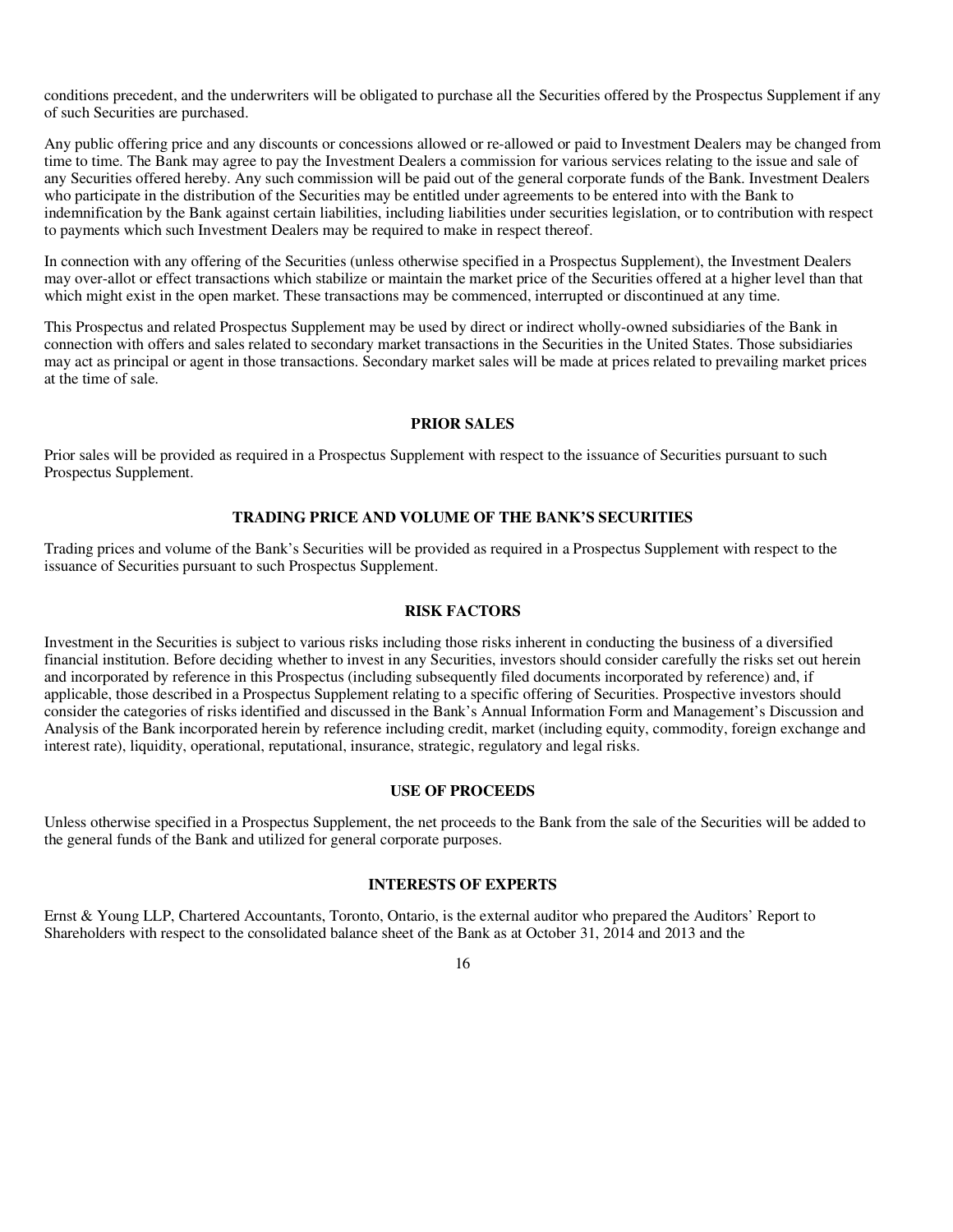conditions precedent, and the underwriters will be obligated to purchase all the Securities offered by the Prospectus Supplement if any of such Securities are purchased.

Any public offering price and any discounts or concessions allowed or re-allowed or paid to Investment Dealers may be changed from time to time. The Bank may agree to pay the Investment Dealers a commission for various services relating to the issue and sale of any Securities offered hereby. Any such commission will be paid out of the general corporate funds of the Bank. Investment Dealers who participate in the distribution of the Securities may be entitled under agreements to be entered into with the Bank to indemnification by the Bank against certain liabilities, including liabilities under securities legislation, or to contribution with respect to payments which such Investment Dealers may be required to make in respect thereof.

In connection with any offering of the Securities (unless otherwise specified in a Prospectus Supplement), the Investment Dealers may over-allot or effect transactions which stabilize or maintain the market price of the Securities offered at a higher level than that which might exist in the open market. These transactions may be commenced, interrupted or discontinued at any time.

This Prospectus and related Prospectus Supplement may be used by direct or indirect wholly-owned subsidiaries of the Bank in connection with offers and sales related to secondary market transactions in the Securities in the United States. Those subsidiaries may act as principal or agent in those transactions. Secondary market sales will be made at prices related to prevailing market prices at the time of sale.

#### **PRIOR SALES**

Prior sales will be provided as required in a Prospectus Supplement with respect to the issuance of Securities pursuant to such Prospectus Supplement.

#### **TRADING PRICE AND VOLUME OF THE BANK'S SECURITIES**

Trading prices and volume of the Bank's Securities will be provided as required in a Prospectus Supplement with respect to the issuance of Securities pursuant to such Prospectus Supplement.

#### **RISK FACTORS**

Investment in the Securities is subject to various risks including those risks inherent in conducting the business of a diversified financial institution. Before deciding whether to invest in any Securities, investors should consider carefully the risks set out herein and incorporated by reference in this Prospectus (including subsequently filed documents incorporated by reference) and, if applicable, those described in a Prospectus Supplement relating to a specific offering of Securities. Prospective investors should consider the categories of risks identified and discussed in the Bank's Annual Information Form and Management's Discussion and Analysis of the Bank incorporated herein by reference including credit, market (including equity, commodity, foreign exchange and interest rate), liquidity, operational, reputational, insurance, strategic, regulatory and legal risks.

#### **USE OF PROCEEDS**

Unless otherwise specified in a Prospectus Supplement, the net proceeds to the Bank from the sale of the Securities will be added to the general funds of the Bank and utilized for general corporate purposes.

#### **INTERESTS OF EXPERTS**

Ernst & Young LLP, Chartered Accountants, Toronto, Ontario, is the external auditor who prepared the Auditors' Report to Shareholders with respect to the consolidated balance sheet of the Bank as at October 31, 2014 and 2013 and the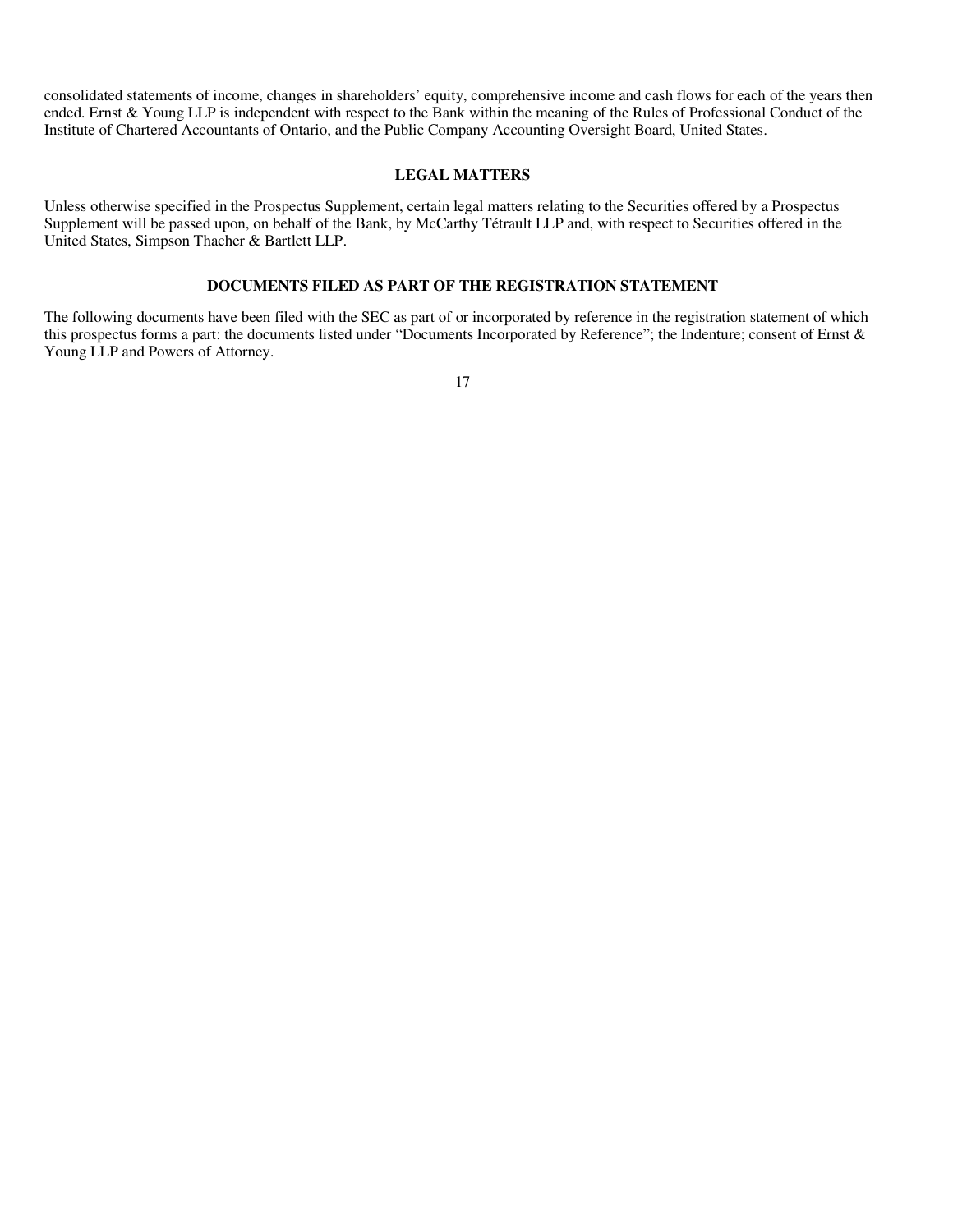consolidated statements of income, changes in shareholders' equity, comprehensive income and cash flows for each of the years then ended. Ernst & Young LLP is independent with respect to the Bank within the meaning of the Rules of Professional Conduct of the Institute of Chartered Accountants of Ontario, and the Public Company Accounting Oversight Board, United States.

#### **LEGAL MATTERS**

Unless otherwise specified in the Prospectus Supplement, certain legal matters relating to the Securities offered by a Prospectus Supplement will be passed upon, on behalf of the Bank, by McCarthy Tétrault LLP and, with respect to Securities offered in the United States, Simpson Thacher & Bartlett LLP.

#### **DOCUMENTS FILED AS PART OF THE REGISTRATION STATEMENT**

The following documents have been filed with the SEC as part of or incorporated by reference in the registration statement of which this prospectus forms a part: the documents listed under "Documents Incorporated by Reference"; the Indenture; consent of Ernst & Young LLP and Powers of Attorney.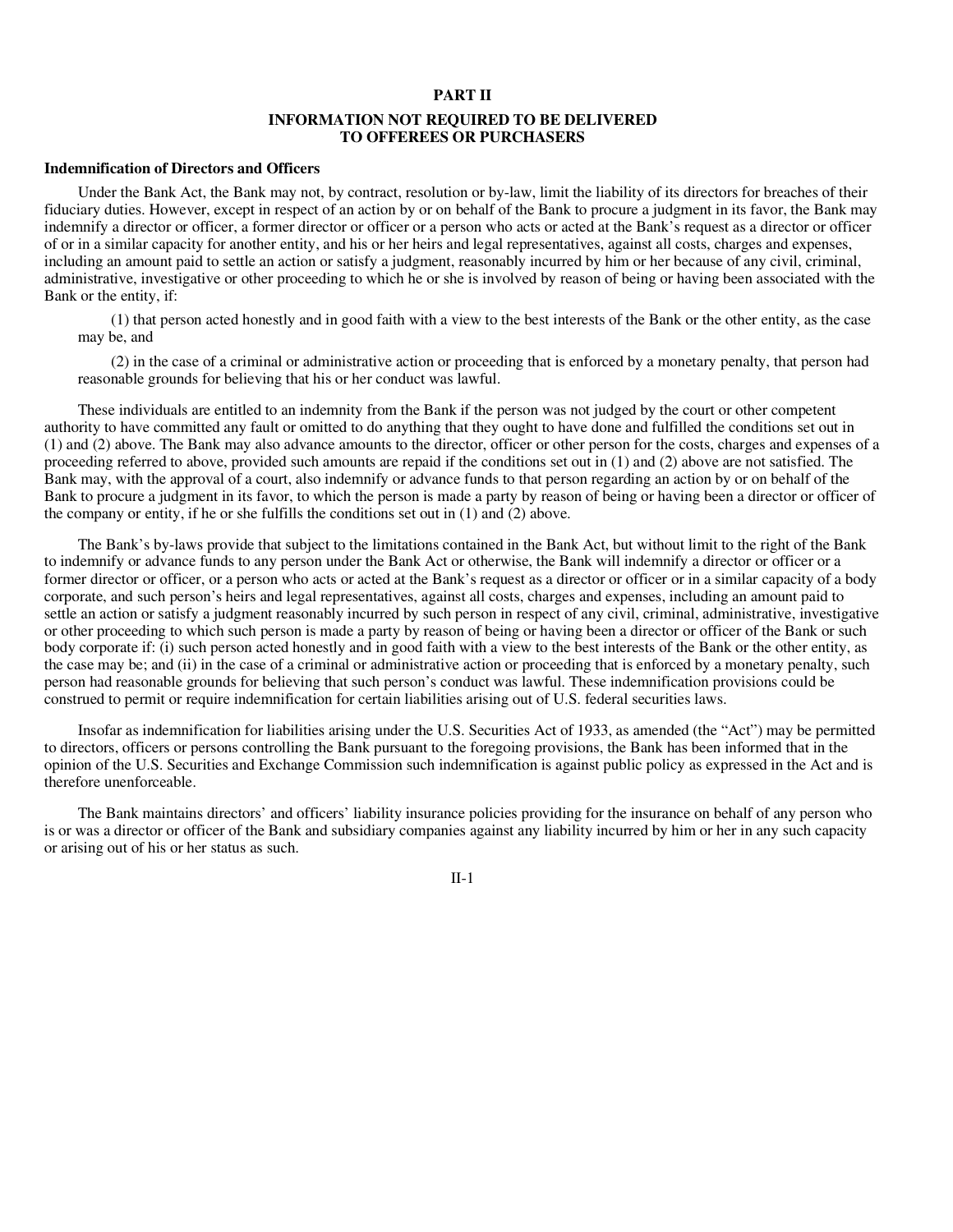#### **PART II**

#### **INFORMATION NOT REQUIRED TO BE DELIVERED TO OFFEREES OR PURCHASERS**

#### **Indemnification of Directors and Officers**

Under the Bank Act, the Bank may not, by contract, resolution or by-law, limit the liability of its directors for breaches of their fiduciary duties. However, except in respect of an action by or on behalf of the Bank to procure a judgment in its favor, the Bank may indemnify a director or officer, a former director or officer or a person who acts or acted at the Bank's request as a director or officer of or in a similar capacity for another entity, and his or her heirs and legal representatives, against all costs, charges and expenses, including an amount paid to settle an action or satisfy a judgment, reasonably incurred by him or her because of any civil, criminal, administrative, investigative or other proceeding to which he or she is involved by reason of being or having been associated with the Bank or the entity, if:

(1) that person acted honestly and in good faith with a view to the best interests of the Bank or the other entity, as the case may be, and

(2) in the case of a criminal or administrative action or proceeding that is enforced by a monetary penalty, that person had reasonable grounds for believing that his or her conduct was lawful.

These individuals are entitled to an indemnity from the Bank if the person was not judged by the court or other competent authority to have committed any fault or omitted to do anything that they ought to have done and fulfilled the conditions set out in (1) and (2) above. The Bank may also advance amounts to the director, officer or other person for the costs, charges and expenses of a proceeding referred to above, provided such amounts are repaid if the conditions set out in (1) and (2) above are not satisfied. The Bank may, with the approval of a court, also indemnify or advance funds to that person regarding an action by or on behalf of the Bank to procure a judgment in its favor, to which the person is made a party by reason of being or having been a director or officer of the company or entity, if he or she fulfills the conditions set out in (1) and (2) above.

The Bank's by-laws provide that subject to the limitations contained in the Bank Act, but without limit to the right of the Bank to indemnify or advance funds to any person under the Bank Act or otherwise, the Bank will indemnify a director or officer or a former director or officer, or a person who acts or acted at the Bank's request as a director or officer or in a similar capacity of a body corporate, and such person's heirs and legal representatives, against all costs, charges and expenses, including an amount paid to settle an action or satisfy a judgment reasonably incurred by such person in respect of any civil, criminal, administrative, investigative or other proceeding to which such person is made a party by reason of being or having been a director or officer of the Bank or such body corporate if: (i) such person acted honestly and in good faith with a view to the best interests of the Bank or the other entity, as the case may be; and (ii) in the case of a criminal or administrative action or proceeding that is enforced by a monetary penalty, such person had reasonable grounds for believing that such person's conduct was lawful. These indemnification provisions could be construed to permit or require indemnification for certain liabilities arising out of U.S. federal securities laws.

Insofar as indemnification for liabilities arising under the U.S. Securities Act of 1933, as amended (the "Act") may be permitted to directors, officers or persons controlling the Bank pursuant to the foregoing provisions, the Bank has been informed that in the opinion of the U.S. Securities and Exchange Commission such indemnification is against public policy as expressed in the Act and is therefore unenforceable.

The Bank maintains directors' and officers' liability insurance policies providing for the insurance on behalf of any person who is or was a director or officer of the Bank and subsidiary companies against any liability incurred by him or her in any such capacity or arising out of his or her status as such.

II-1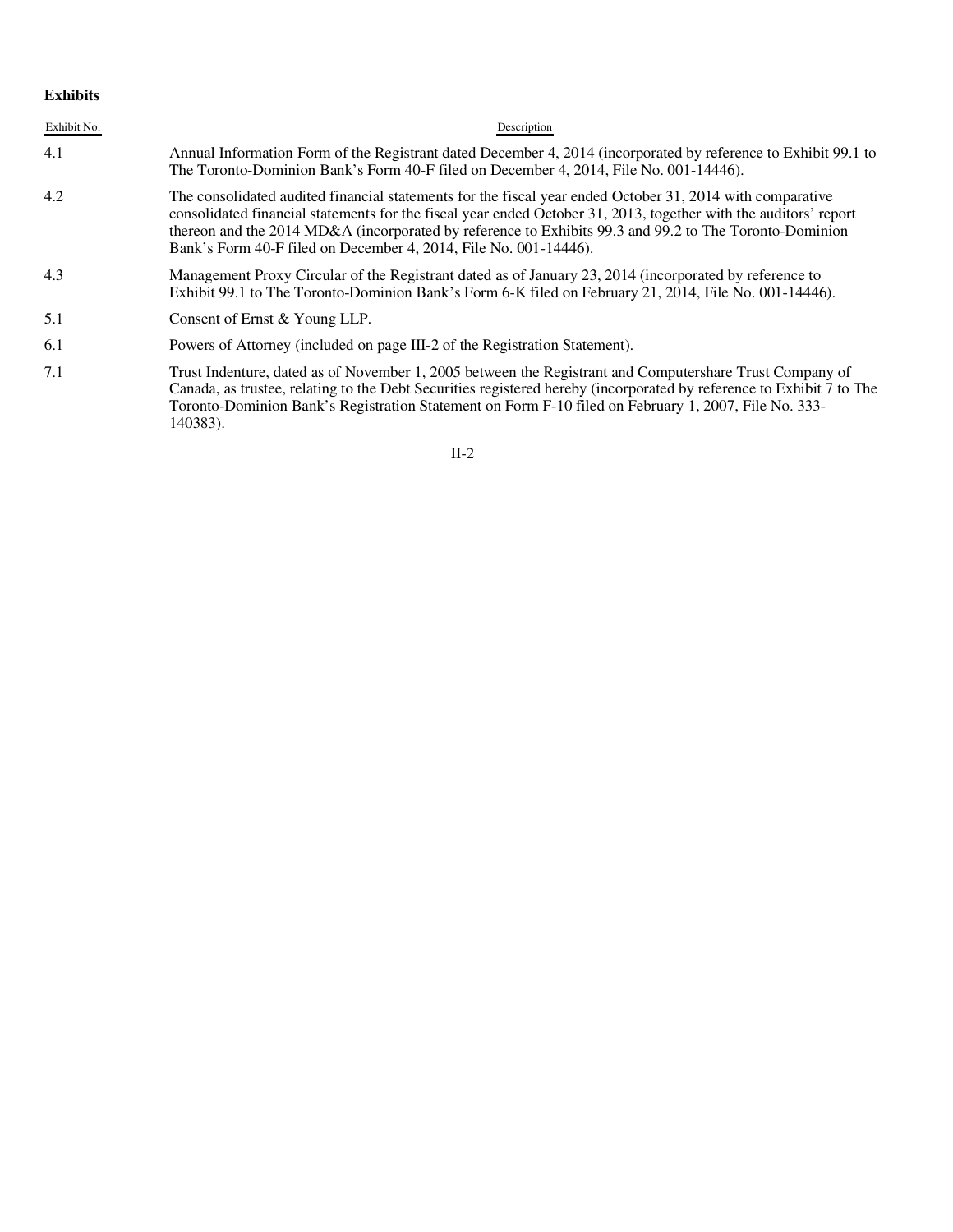## **Exhibits**

| Exhibit No. | Description                                                                                                                                                                                                                                                                                                                                                                                                 |
|-------------|-------------------------------------------------------------------------------------------------------------------------------------------------------------------------------------------------------------------------------------------------------------------------------------------------------------------------------------------------------------------------------------------------------------|
| 4.1         | Annual Information Form of the Registrant dated December 4, 2014 (incorporated by reference to Exhibit 99.1 to<br>The Toronto-Dominion Bank's Form 40-F filed on December 4, 2014, File No. 001-14446).                                                                                                                                                                                                     |
| 4.2         | The consolidated audited financial statements for the fiscal year ended October 31, 2014 with comparative<br>consolidated financial statements for the fiscal year ended October 31, 2013, together with the auditors' report<br>thereon and the 2014 MD&A (incorporated by reference to Exhibits 99.3 and 99.2 to The Toronto-Dominion<br>Bank's Form 40-F filed on December 4, 2014, File No. 001-14446). |
| 4.3         | Management Proxy Circular of the Registrant dated as of January 23, 2014 (incorporated by reference to<br>Exhibit 99.1 to The Toronto-Dominion Bank's Form 6-K filed on February 21, 2014, File No. 001-14446).                                                                                                                                                                                             |
| 5.1         | Consent of Ernst & Young LLP.                                                                                                                                                                                                                                                                                                                                                                               |
| 6.1         | Powers of Attorney (included on page III-2 of the Registration Statement).                                                                                                                                                                                                                                                                                                                                  |
| 7.1         | Trust Indenture, dated as of November 1, 2005 between the Registrant and Computershare Trust Company of<br>Canada, as trustee, relating to the Debt Securities registered hereby (incorporated by reference to Exhibit 7 to The<br>Toronto-Dominion Bank's Registration Statement on Form F-10 filed on February 1, 2007, File No. 333-<br>140383).                                                         |

II-2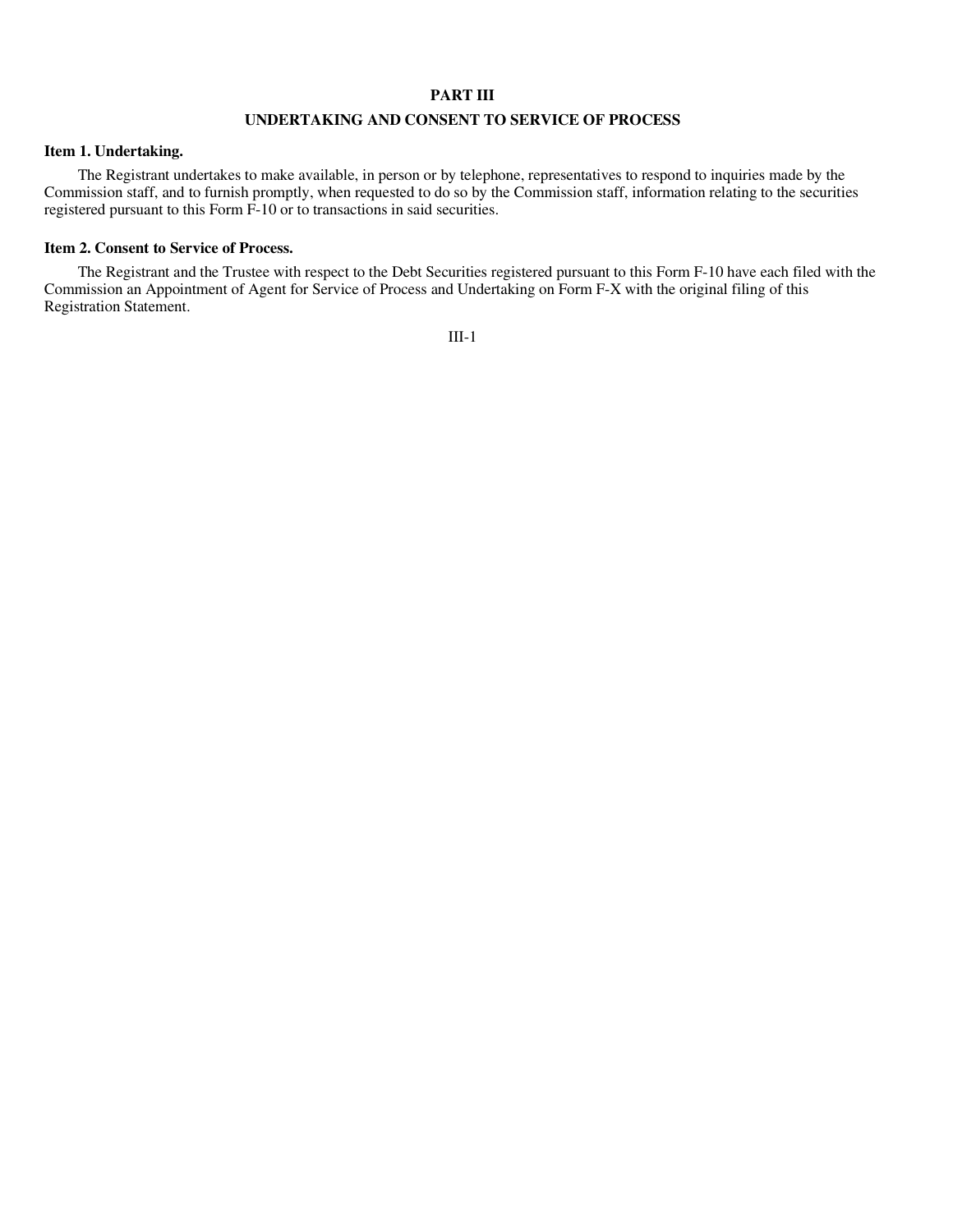#### **PART III**

#### **UNDERTAKING AND CONSENT TO SERVICE OF PROCESS**

#### **Item 1. Undertaking.**

The Registrant undertakes to make available, in person or by telephone, representatives to respond to inquiries made by the Commission staff, and to furnish promptly, when requested to do so by the Commission staff, information relating to the securities registered pursuant to this Form F-10 or to transactions in said securities.

#### **Item 2. Consent to Service of Process.**

The Registrant and the Trustee with respect to the Debt Securities registered pursuant to this Form F-10 have each filed with the Commission an Appointment of Agent for Service of Process and Undertaking on Form F-X with the original filing of this Registration Statement.

$$
III-1
$$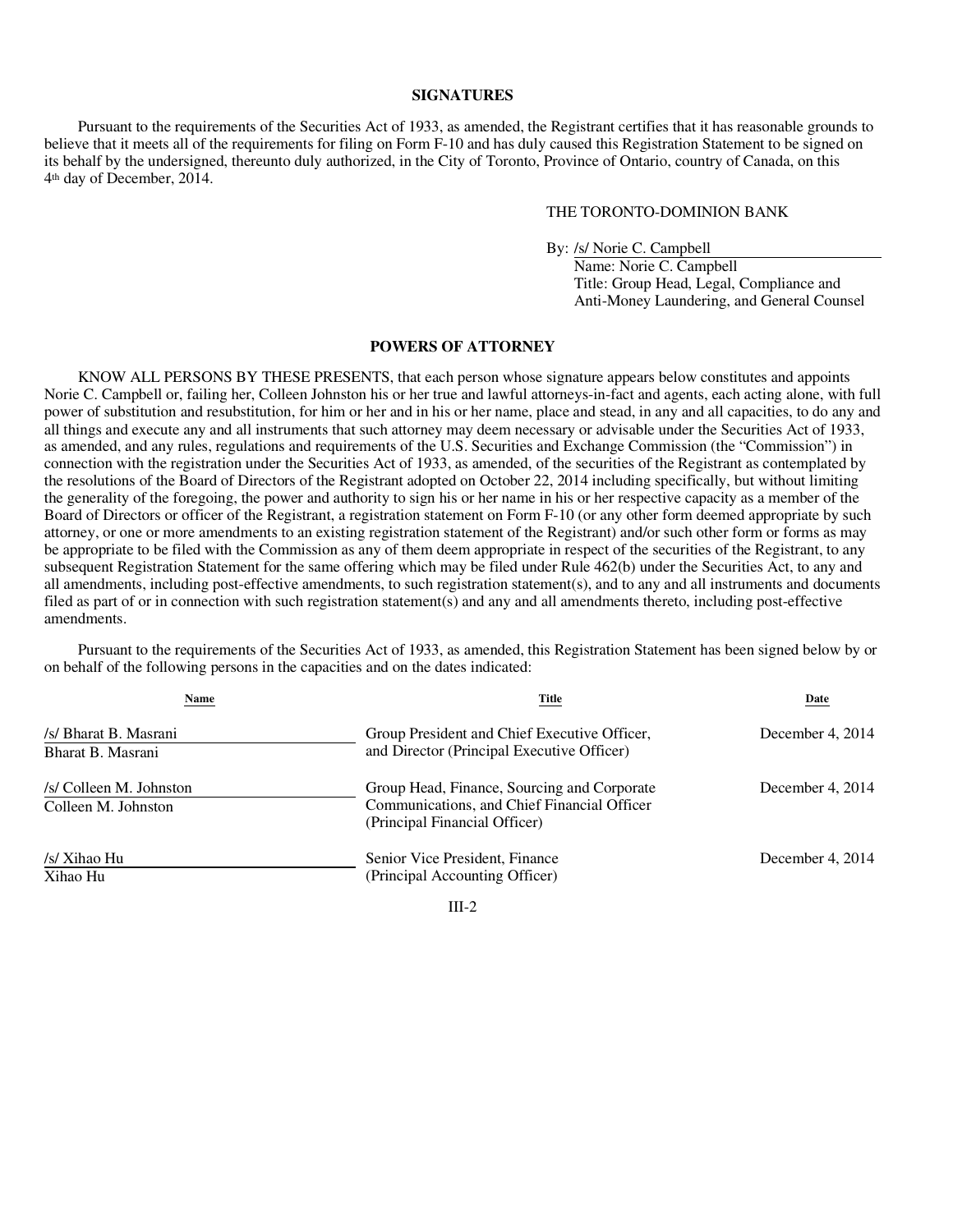#### **SIGNATURES**

Pursuant to the requirements of the Securities Act of 1933, as amended, the Registrant certifies that it has reasonable grounds to believe that it meets all of the requirements for filing on Form F-10 and has duly caused this Registration Statement to be signed on its behalf by the undersigned, thereunto duly authorized, in the City of Toronto, Province of Ontario, country of Canada, on this 4<sup>th</sup> day of December, 2014.

#### THE TORONTO-DOMINION BANK

By: /s/ Norie C. Campbell

Name: Norie C. Campbell Title: Group Head, Legal, Compliance and Anti-Money Laundering, and General Counsel

#### **POWERS OF ATTORNEY**

KNOW ALL PERSONS BY THESE PRESENTS, that each person whose signature appears below constitutes and appoints Norie C. Campbell or, failing her, Colleen Johnston his or her true and lawful attorneys-in-fact and agents, each acting alone, with full power of substitution and resubstitution, for him or her and in his or her name, place and stead, in any and all capacities, to do any and all things and execute any and all instruments that such attorney may deem necessary or advisable under the Securities Act of 1933, as amended, and any rules, regulations and requirements of the U.S. Securities and Exchange Commission (the "Commission") in connection with the registration under the Securities Act of 1933, as amended, of the securities of the Registrant as contemplated by the resolutions of the Board of Directors of the Registrant adopted on October 22, 2014 including specifically, but without limiting the generality of the foregoing, the power and authority to sign his or her name in his or her respective capacity as a member of the Board of Directors or officer of the Registrant, a registration statement on Form F-10 (or any other form deemed appropriate by such attorney, or one or more amendments to an existing registration statement of the Registrant) and/or such other form or forms as may be appropriate to be filed with the Commission as any of them deem appropriate in respect of the securities of the Registrant, to any subsequent Registration Statement for the same offering which may be filed under Rule 462(b) under the Securities Act, to any and all amendments, including post-effective amendments, to such registration statement(s), and to any and all instruments and documents filed as part of or in connection with such registration statement(s) and any and all amendments thereto, including post-effective amendments.

Pursuant to the requirements of the Securities Act of 1933, as amended, this Registration Statement has been signed below by or on behalf of the following persons in the capacities and on the dates indicated:

| Name                                           | Title                                                                                                                       | Date             |
|------------------------------------------------|-----------------------------------------------------------------------------------------------------------------------------|------------------|
| /s/ Bharat B. Masrani<br>Bharat B. Masrani     | Group President and Chief Executive Officer,<br>and Director (Principal Executive Officer)                                  | December 4, 2014 |
| /s/ Colleen M. Johnston<br>Colleen M. Johnston | Group Head, Finance, Sourcing and Corporate<br>Communications, and Chief Financial Officer<br>(Principal Financial Officer) | December 4, 2014 |
| /s/ Xihao Hu<br>Xihao Hu                       | Senior Vice President, Finance<br>(Principal Accounting Officer)                                                            | December 4, 2014 |

III-2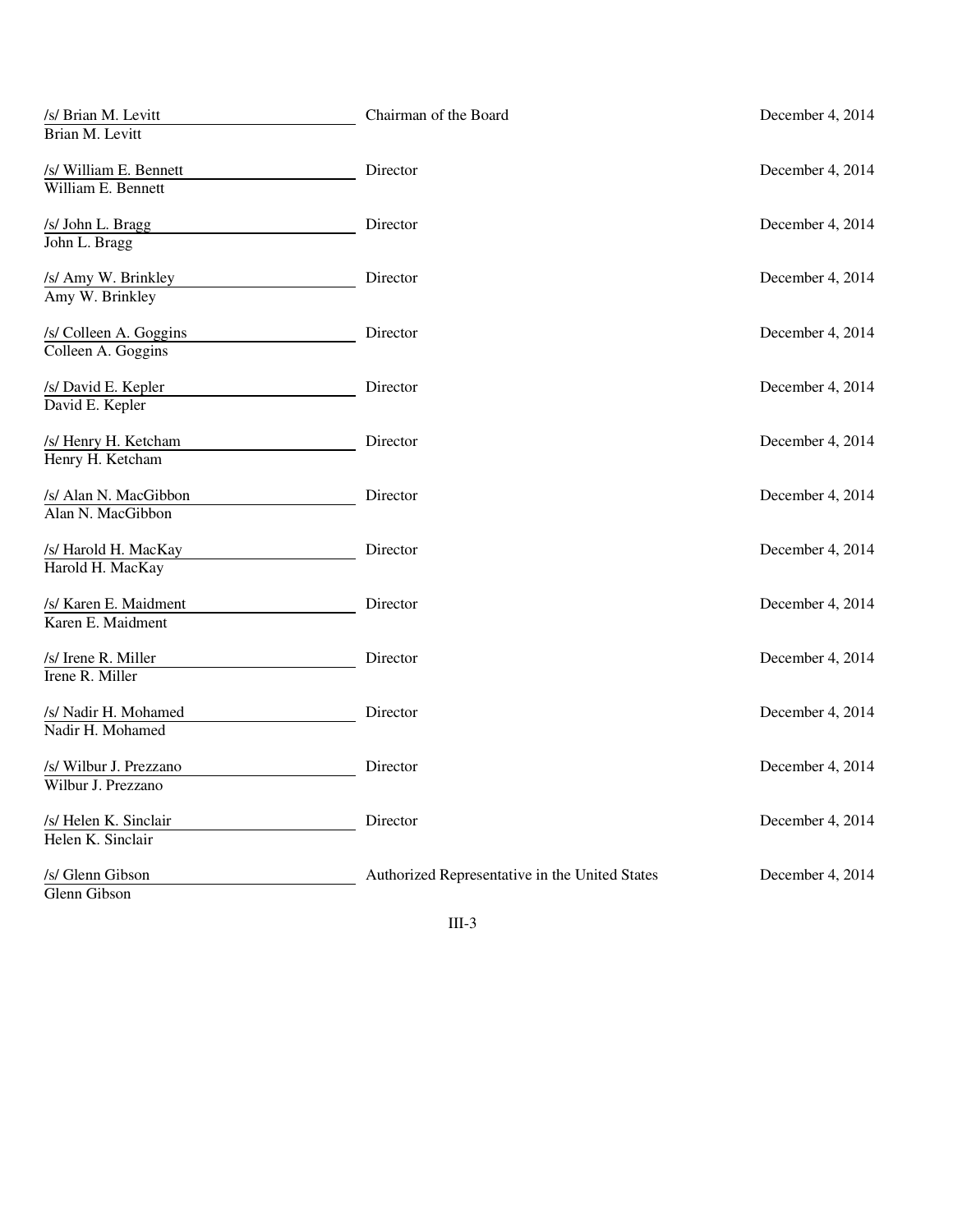| /s/ Brian M. Levitt<br>Brian M. Levitt       | Chairman of the Board                          | December 4, 2014 |
|----------------------------------------------|------------------------------------------------|------------------|
| /s/ William E. Bennett<br>William E. Bennett | Director                                       | December 4, 2014 |
| /s/ John L. Bragg<br>John L. Bragg           | Director                                       | December 4, 2014 |
| /s/ Amy W. Brinkley<br>Amy W. Brinkley       | Director                                       | December 4, 2014 |
| /s/ Colleen A. Goggins<br>Colleen A. Goggins | Director                                       | December 4, 2014 |
| /s/ David E. Kepler<br>David E. Kepler       | Director                                       | December 4, 2014 |
| /s/ Henry H. Ketcham<br>Henry H. Ketcham     | Director                                       | December 4, 2014 |
| /s/ Alan N. MacGibbon<br>Alan N. MacGibbon   | Director                                       | December 4, 2014 |
| /s/ Harold H. MacKay<br>Harold H. MacKay     | Director                                       | December 4, 2014 |
| /s/ Karen E. Maidment<br>Karen E. Maidment   | Director                                       | December 4, 2014 |
| /s/ Irene R. Miller<br>Irene R. Miller       | Director                                       | December 4, 2014 |
| /s/ Nadir H. Mohamed<br>Nadir H. Mohamed     | Director                                       | December 4, 2014 |
| /s/ Wilbur J. Prezzano<br>Wilbur J. Prezzano | Director                                       | December 4, 2014 |
| /s/ Helen K. Sinclair<br>Helen K. Sinclair   | Director                                       | December 4, 2014 |
| /s/ Glenn Gibson<br>Glenn Gibson             | Authorized Representative in the United States | December 4, 2014 |

III-3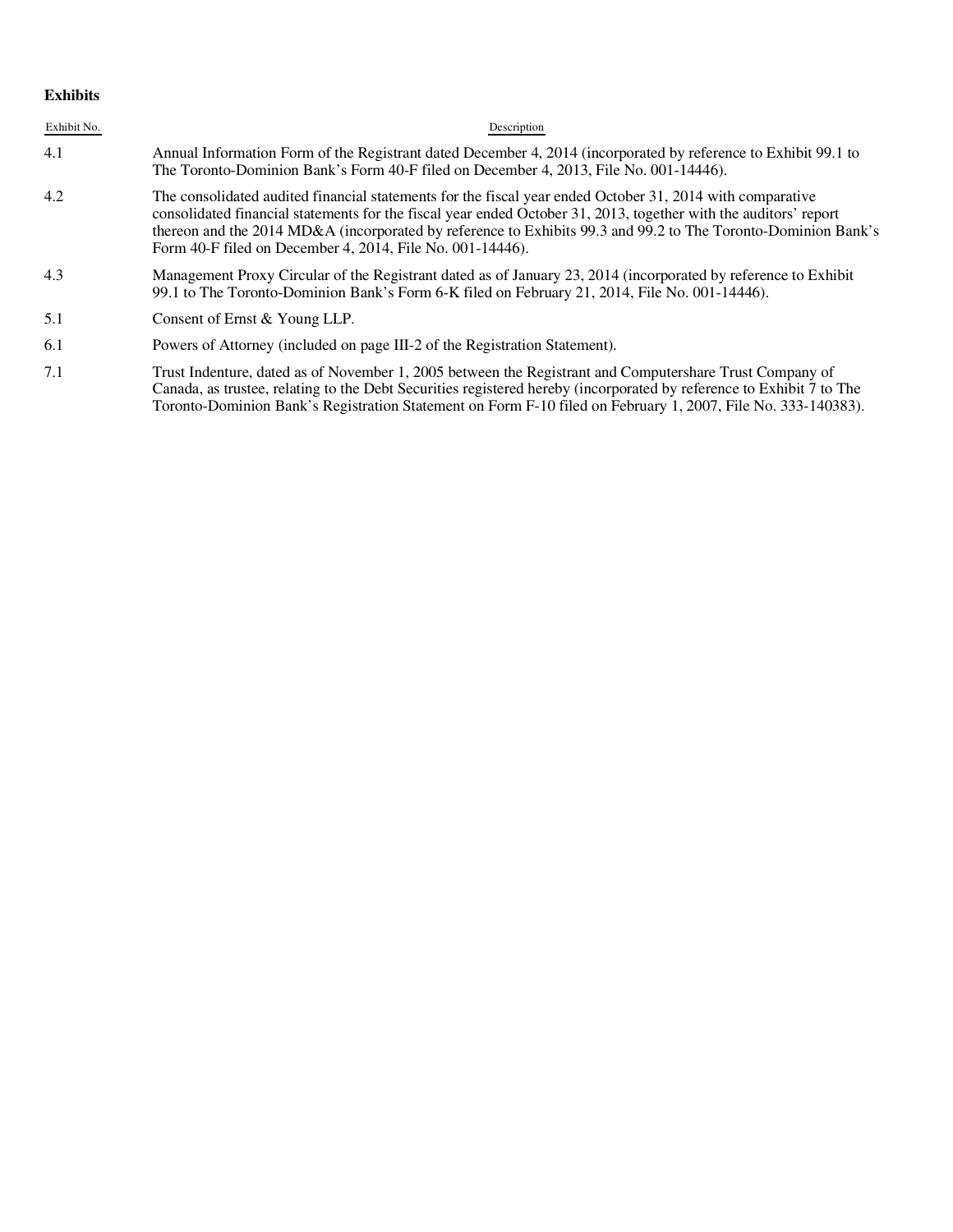## **Exhibits**

| Exhibit No. | Description                                                                                                                                                                                                                                                                                                                                                                                                 |
|-------------|-------------------------------------------------------------------------------------------------------------------------------------------------------------------------------------------------------------------------------------------------------------------------------------------------------------------------------------------------------------------------------------------------------------|
| 4.1         | Annual Information Form of the Registrant dated December 4, 2014 (incorporated by reference to Exhibit 99.1 to<br>The Toronto-Dominion Bank's Form 40-F filed on December 4, 2013, File No. 001-14446).                                                                                                                                                                                                     |
| 4.2         | The consolidated audited financial statements for the fiscal year ended October 31, 2014 with comparative<br>consolidated financial statements for the fiscal year ended October 31, 2013, together with the auditors' report<br>thereon and the 2014 MD&A (incorporated by reference to Exhibits 99.3 and 99.2 to The Toronto-Dominion Bank's<br>Form 40-F filed on December 4, 2014, File No. 001-14446). |
| 4.3         | Management Proxy Circular of the Registrant dated as of January 23, 2014 (incorporated by reference to Exhibit<br>99.1 to The Toronto-Dominion Bank's Form 6-K filed on February 21, 2014, File No. 001-14446).                                                                                                                                                                                             |
| 5.1         | Consent of Ernst & Young LLP.                                                                                                                                                                                                                                                                                                                                                                               |
| 6.1         | Powers of Attorney (included on page III-2 of the Registration Statement).                                                                                                                                                                                                                                                                                                                                  |
| 7.1         | Trust Indenture, dated as of November 1, 2005 between the Registrant and Computershare Trust Company of<br>Canada, as trustee, relating to the Debt Securities registered hereby (incorporated by reference to Exhibit 7 to The<br>Toronto-Dominion Bank's Registration Statement on Form F-10 filed on February 1, 2007, File No. 333-140383).                                                             |